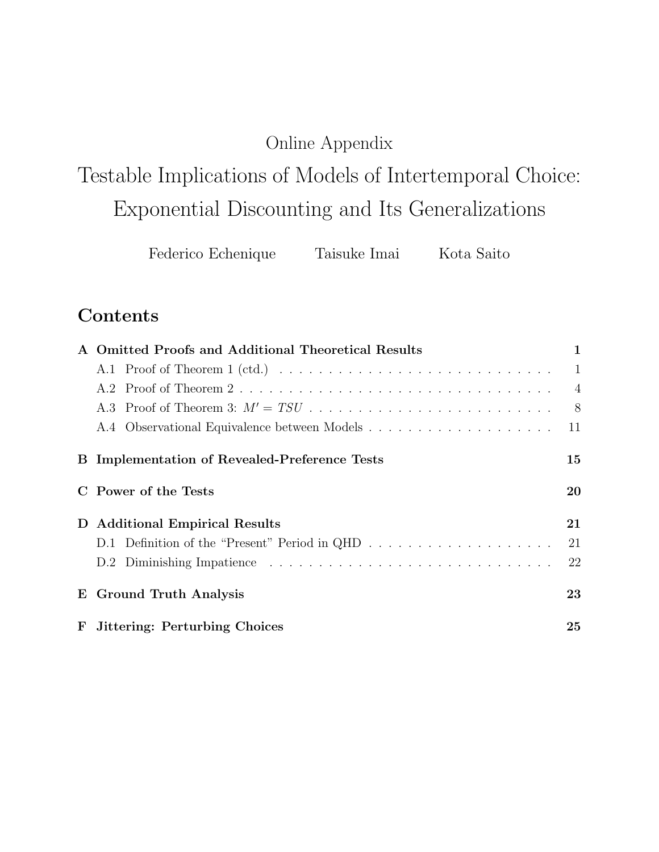## Online Appendix

# <span id="page-0-0"></span>Testable Implications of Models of Intertemporal Choice: Exponential Discounting and Its Generalizations

Federico Echenique Taisuke Imai Kota Saito

## Contents

|   | A Omitted Proofs and Additional Theoretical Results  | 1              |
|---|------------------------------------------------------|----------------|
|   |                                                      | -1             |
|   |                                                      | $\overline{4}$ |
|   |                                                      | 8 <sup>8</sup> |
|   |                                                      | 11             |
|   | <b>B</b> Implementation of Revealed-Preference Tests | 15             |
|   | Power of the Tests                                   | 20             |
| D | <b>Additional Empirical Results</b>                  | 21             |
|   |                                                      | 21             |
|   |                                                      | 22             |
|   | E Ground Truth Analysis                              | 23             |
|   | F Jittering: Perturbing Choices                      | 25             |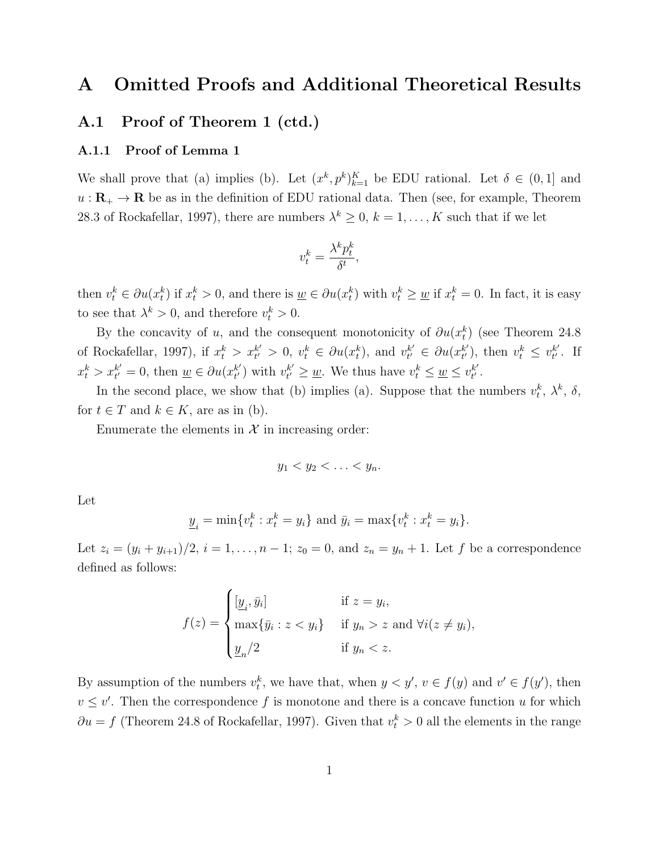## <span id="page-1-0"></span>A Omitted Proofs and Additional Theoretical Results

#### <span id="page-1-1"></span>A.1 Proof of Theorem 1 (ctd.)

#### A.1.1 Proof of Lemma 1

We shall prove that (a) implies (b). Let  $(x^k, p^k)_{k=1}^K$  be EDU rational. Let  $\delta \in (0,1]$  and  $u : \mathbf{R}_{+} \to \mathbf{R}$  be as in the definition of EDU rational data. Then (see, for example, Theorem 28.3 of [Rockafellar,](#page-29-0) [1997\)](#page-29-0), there are numbers  $\lambda^k \geq 0$ ,  $k = 1, \ldots, K$  such that if we let

$$
v_t^k = \frac{\lambda^k p_t^k}{\delta^t},
$$

then  $v_t^k \in \partial u(x_t^k)$  if  $x_t^k > 0$ , and there is  $\underline{w} \in \partial u(x_t^k)$  with  $v_t^k \ge \underline{w}$  if  $x_t^k = 0$ . In fact, it is easy to see that  $\lambda^k > 0$ , and therefore  $v_t^k > 0$ .

By the concavity of u, and the consequent monotonicity of  $\partial u(x_t^k)$  (see Theorem 24.8 of [Rockafellar,](#page-29-0) [1997\)](#page-29-0), if  $x_t^k > x_{t'}^{k'}$  $t' > 0, v_t^k \in \partial u(x_t^k)$ , and  $v_{t'}^{k'}$  $t'_{t'} \in \partial u(x_{t'}^{k'})$  $t'_{t'}$ , then  $v_t^k \leq v_{t'}^{k'}$  $_{t^{\prime }}^{k^{\prime }}.$  If  $x_t^k > x_{t'}^{k'}$  $t'_{t'} = 0$ , then  $\underline{w} \in \partial u(x_{t'}^{k'})$  $t'$ ) with  $v^{k'}_{t'}$  $t' \geq \underline{w}$ . We thus have  $v_t^k \leq \underline{w} \leq v_{t'}^{k'}$  $_{t^{\prime }}^{k^{\prime }}.$ 

In the second place, we show that (b) implies (a). Suppose that the numbers  $v_t^k$ ,  $\lambda^k$ ,  $\delta$ , for  $t \in T$  and  $k \in K$ , are as in (b).

Enumerate the elements in  $X$  in increasing order:

$$
y_1 < y_2 < \ldots < y_n.
$$

Let

$$
\underline{y}_i = \min\{v_t^k : x_t^k = y_i\} \text{ and } \bar{y}_i = \max\{v_t^k : x_t^k = y_i\}.
$$

Let  $z_i = (y_i + y_{i+1})/2$ ,  $i = 1, ..., n-1$ ;  $z_0 = 0$ , and  $z_n = y_n + 1$ . Let f be a correspondence defined as follows:

$$
f(z) = \begin{cases} [\underline{y}_i, \bar{y}_i] & \text{if } z = y_i, \\ \max{\{\bar{y}_i : z < y_i\}} & \text{if } y_n > z \text{ and } \forall i (z \neq y_i), \\ \underline{y}_n/2 & \text{if } y_n < z. \end{cases}
$$

By assumption of the numbers  $v_t^k$ , we have that, when  $y < y'$ ,  $v \in f(y)$  and  $v' \in f(y')$ , then  $v \leq v'$ . Then the correspondence f is monotone and there is a concave function u for which  $\partial u = f$  (Theorem 24.8 of [Rockafellar,](#page-29-0) [1997\)](#page-29-0). Given that  $v_t^k > 0$  all the elements in the range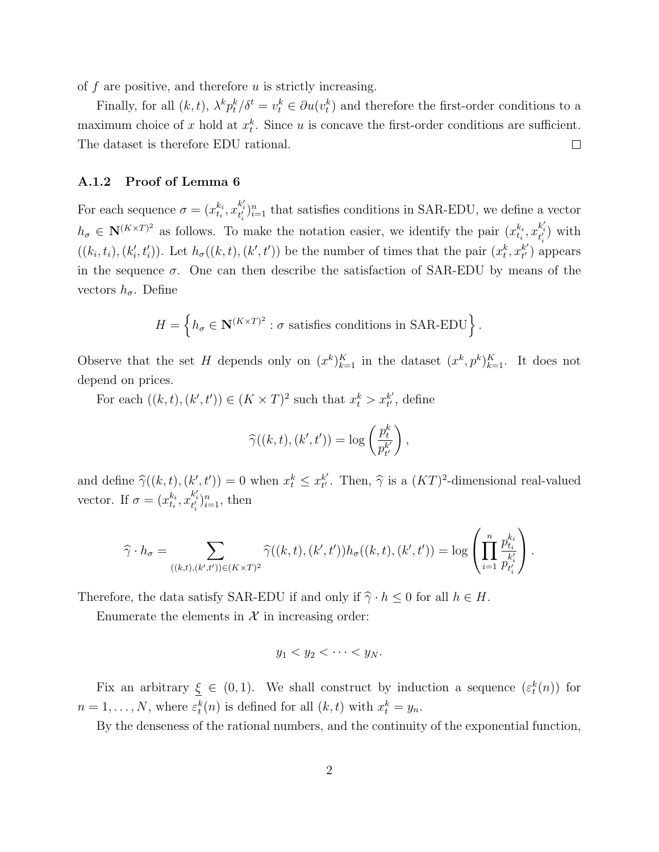of  $f$  are positive, and therefore  $u$  is strictly increasing.

Finally, for all  $(k, t)$ ,  $\lambda^k p_t^k / \delta^t = v_t^k \in \partial u(v_t^k)$  and therefore the first-order conditions to a maximum choice of x hold at  $x_t^k$ . Since u is concave the first-order conditions are sufficient. The dataset is therefore EDU rational.  $\Box$ 

#### A.1.2 Proof of Lemma 6

For each sequence  $\sigma = (x_{t_i}^{k_i})$  $t_i^{k_i}, x_{t_i'}^{k_i'})_{i=1}^n$  that satisfies conditions in SAR-EDU, we define a vector  $h_{\sigma} \in \mathbb{N}^{(K \times T)^2}$  as follows. To make the notation easier, we identify the pair  $(x_{t_i}^{k_i})$  $_{t_i}^{k_i}, x_{t'_i}^{k'_i}$  with  $((k_i, t_i), (k'_i, t'_i))$ . Let  $h_\sigma((k, t), (k', t'))$  be the number of times that the pair  $(x_t^k, x_{t'}^{k'})$  $_{t'}^{k'}$ ) appears in the sequence  $\sigma$ . One can then describe the satisfaction of SAR-EDU by means of the vectors  $h_{\sigma}$ . Define

$$
H = \left\{ h_{\sigma} \in \mathbf{N}^{(K \times T)^2} : \sigma \text{ satisfies conditions in SAR-EDU} \right\}.
$$

Observe that the set H depends only on  $(x^k)_{k=1}^K$  in the dataset  $(x^k, p^k)_{k=1}^K$ . It does not depend on prices.

For each  $((k, t), (k', t')) \in (K \times T)^2$  such that  $x_t^k > x_{t'}^{k'}$  $_{t^{\prime}}^{k^{\prime}},$  define

$$
\widehat{\gamma}((k,t),(k',t')) = \log\left(\frac{p_t^k}{p_{t'}^{k'}}\right),\,
$$

and define  $\widehat{\gamma}((k, t), (k', t')) = 0$  when  $x_t^k \leq x_{t'}^{k'}$  $t'$ . Then,  $\hat{\gamma}$  is a  $(KT)^2$ -dimensional real-valued vector. If  $\sigma = (x_{t_i}^{k_i})$  $_{t_i}^{k_i}, x_{t'_i}^{k'_i} \}_{i=1}^{n}$ , then

$$
\widehat{\gamma} \cdot h_{\sigma} = \sum_{((k,t),(k',t')) \in (K \times T)^2} \widehat{\gamma}((k,t),(k',t')) h_{\sigma}((k,t),(k',t')) = \log \left( \prod_{i=1}^n \frac{p_{t_i}^{k_i}}{p_{t_i}^{k_i'}} \right).
$$

Therefore, the data satisfy SAR-EDU if and only if  $\hat{\gamma} \cdot h \leq 0$  for all  $h \in H$ .

Enumerate the elements in  $\mathcal X$  in increasing order:

$$
y_1 < y_2 < \cdots < y_N.
$$

Fix an arbitrary  $\xi \in (0,1)$ . We shall construct by induction a sequence  $(\varepsilon_t^k(n))$  for  $n = 1, \ldots, N$ , where  $\varepsilon_t^k(n)$  is defined for all  $(k, t)$  with  $x_t^k = y_n$ .

By the denseness of the rational numbers, and the continuity of the exponential function,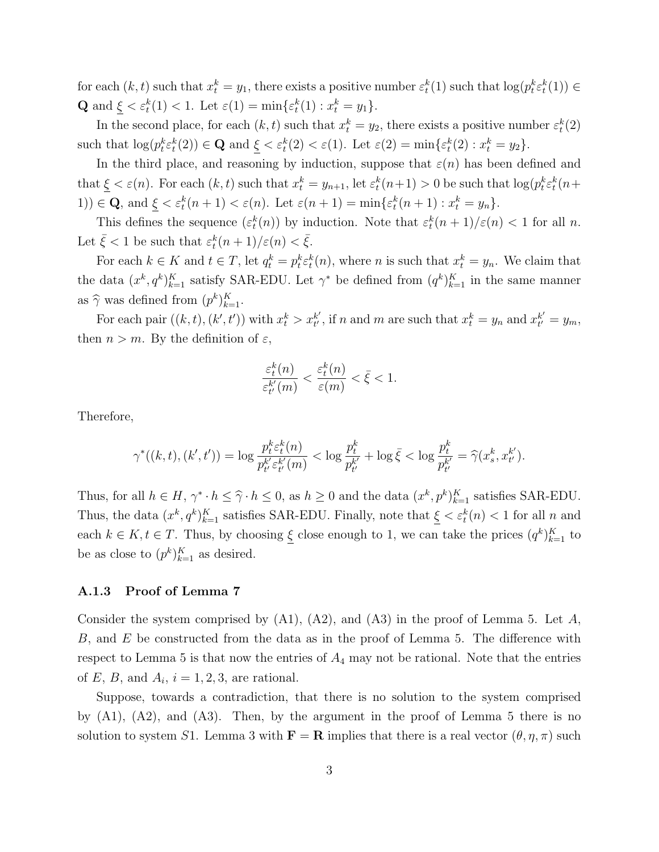for each  $(k, t)$  such that  $x_t^k = y_1$ , there exists a positive number  $\varepsilon_t^k(1)$  such that  $\log(p_t^k \varepsilon_t^k(1)) \in$ **Q** and  $\xi < \varepsilon_t^k(1) < 1$ . Let  $\varepsilon(1) = \min{\{\varepsilon_t^k(1) : x_t^k = y_1\}}$ .

In the second place, for each  $(k, t)$  such that  $x_t^k = y_2$ , there exists a positive number  $\varepsilon_t^k(2)$ such that  $\log(p_t^k \varepsilon_t^k(2)) \in \mathbf{Q}$  and  $\underline{\xi} < \varepsilon_t^k(2) < \varepsilon(1)$ . Let  $\varepsilon(2) = \min\{\varepsilon_t^k(2) : x_t^k = y_2\}$ .

In the third place, and reasoning by induction, suppose that  $\varepsilon(n)$  has been defined and that  $\xi < \varepsilon(n)$ . For each  $(k, t)$  such that  $x_t^k = y_{n+1}$ , let  $\varepsilon_t^k(n+1) > 0$  be such that  $\log(p_t^k \varepsilon_t^k(n+1))$ 1))  $\in \mathbf{Q}$ , and  $\underline{\xi} < \varepsilon_t^k(n+1) < \varepsilon(n)$ . Let  $\varepsilon(n+1) = \min\{\varepsilon_t^k(n+1) : x_t^k = y_n\}$ .

This defines the sequence  $(\varepsilon_t^k(n))$  by induction. Note that  $\varepsilon_t^k(n+1)/\varepsilon(n) < 1$  for all n. Let  $\bar{\xi} < 1$  be such that  $\varepsilon_t^k(n+1)/\varepsilon(n) < \bar{\xi}$ .

For each  $k \in K$  and  $t \in T$ , let  $q_t^k = p_t^k \varepsilon_t^k(n)$ , where n is such that  $x_t^k = y_n$ . We claim that the data  $(x^k, q^k)_{k=1}^K$  satisfy SAR-EDU. Let  $\gamma^*$  be defined from  $(q^k)_{k=1}^K$  in the same manner as  $\hat{\gamma}$  was defined from  $(p^k)_{k=1}^K$ .

For each pair  $((k, t), (k', t'))$  with  $x_t^k > x_{t'}^{k'}$  $t'$ , if n and m are such that  $x_t^k = y_n$  and  $x_{t'}^{k'}$  $t'_{t'} = y_m,$ then  $n > m$ . By the definition of  $\varepsilon$ ,

$$
\frac{\varepsilon_t^k(n)}{\varepsilon_{t'}^{k'}(m)} < \frac{\varepsilon_t^k(n)}{\varepsilon(m)} < \bar{\xi} < 1.
$$

Therefore,

$$
\gamma^*((k,t),(k',t')) = \log \frac{p_t^k \varepsilon_t^k(n)}{p_{t'}^{k'} \varepsilon_{t'}^{k'}(m)} < \log \frac{p_t^k}{p_{t'}^{k'}} + \log \bar{\xi} < \log \frac{p_t^k}{p_{t'}^{k'}} = \widehat{\gamma}(x_s^k, x_{t'}^{k'}).
$$

Thus, for all  $h \in H$ ,  $\gamma^* \cdot h \leq \hat{\gamma} \cdot h \leq 0$ , as  $h \geq 0$  and the data  $(x^k, p^k)_{k=1}^K$  satisfies SAR-EDU. Thus, the data  $(x^k, q^k)_{k=1}^K$  satisfies SAR-EDU. Finally, note that  $\xi < \varepsilon_t^k(n) < 1$  for all n and each  $k \in K, t \in T$ . Thus, by choosing  $\underline{\xi}$  close enough to 1, we can take the prices  $(q^k)_{k=1}^K$  to be as close to  $(p^k)_{k=1}^K$  as desired.

#### A.1.3 Proof of Lemma 7

Consider the system comprised by  $(A1)$ ,  $(A2)$ , and  $(A3)$  in the proof of Lemma 5. Let A, B, and E be constructed from the data as in the proof of Lemma 5. The difference with respect to Lemma 5 is that now the entries of  $A_4$  may not be rational. Note that the entries of E, B, and  $A_i$ ,  $i = 1, 2, 3$ , are rational.

Suppose, towards a contradiction, that there is no solution to the system comprised by  $(A1)$ ,  $(A2)$ , and  $(A3)$ . Then, by the argument in the proof of Lemma 5 there is no solution to system S1. Lemma 3 with  $\mathbf{F} = \mathbf{R}$  implies that there is a real vector  $(\theta, \eta, \pi)$  such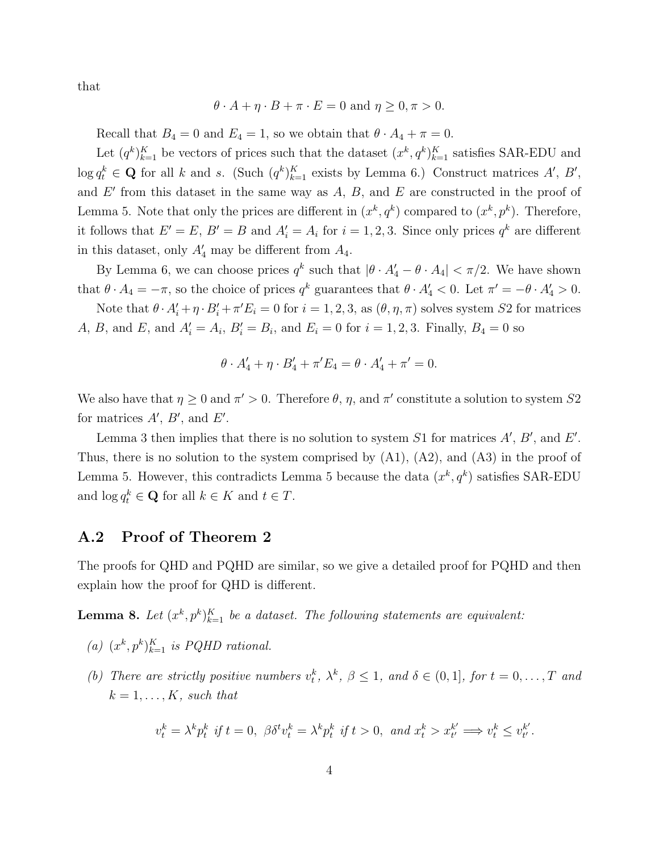that

$$
\theta \cdot A + \eta \cdot B + \pi \cdot E = 0 \text{ and } \eta \ge 0, \pi > 0.
$$

Recall that  $B_4 = 0$  and  $E_4 = 1$ , so we obtain that  $\theta \cdot A_4 + \pi = 0$ .

Let  $(q^k)_{k=1}^K$  be vectors of prices such that the dataset  $(x^k, q^k)_{k=1}^K$  satisfies SAR-EDU and  $\log q_t^k \in \mathbf{Q}$  for all k and s. (Such  $(q^k)_{k=1}^K$  exists by Lemma 6.) Construct matrices  $A', B',$ and  $E'$  from this dataset in the same way as  $A, B$ , and  $E$  are constructed in the proof of Lemma 5. Note that only the prices are different in  $(x^k, q^k)$  compared to  $(x^k, p^k)$ . Therefore, it follows that  $E' = E$ ,  $B' = B$  and  $A'_i = A_i$  for  $i = 1, 2, 3$ . Since only prices  $q^k$  are different in this dataset, only  $A'_4$  may be different from  $A_4$ .

By Lemma 6, we can choose prices  $q^k$  such that  $|\theta \cdot A_4' - \theta \cdot A_4| < \pi/2$ . We have shown that  $\theta \cdot A_4 = -\pi$ , so the choice of prices  $q^k$  guarantees that  $\theta \cdot A'_4 < 0$ . Let  $\pi' = -\theta \cdot A'_4 > 0$ .

Note that  $\theta \cdot A'_i + \eta \cdot B'_i + \pi' E_i = 0$  for  $i = 1, 2, 3$ , as  $(\theta, \eta, \pi)$  solves system S2 for matrices A, B, and E, and  $A'_i = A_i$ ,  $B'_i = B_i$ , and  $E_i = 0$  for  $i = 1, 2, 3$ . Finally,  $B_4 = 0$  so

$$
\theta \cdot A'_4 + \eta \cdot B'_4 + \pi' E_4 = \theta \cdot A'_4 + \pi' = 0.
$$

We also have that  $\eta \geq 0$  and  $\pi' > 0$ . Therefore  $\theta$ ,  $\eta$ , and  $\pi'$  constitute a solution to system S2 for matrices  $A', B'$ , and  $E'$ .

Lemma 3 then implies that there is no solution to system S1 for matrices  $A', B'$ , and  $E'$ . Thus, there is no solution to the system comprised by  $(A1)$ ,  $(A2)$ , and  $(A3)$  in the proof of Lemma 5. However, this contradicts Lemma 5 because the data  $(x^k, q^k)$  satisfies SAR-EDU and  $\log q_t^k \in \mathbf{Q}$  for all  $k \in K$  and  $t \in T$ .

#### <span id="page-4-0"></span>A.2 Proof of Theorem 2

The proofs for QHD and PQHD are similar, so we give a detailed proof for PQHD and then explain how the proof for QHD is different.

<span id="page-4-1"></span>**Lemma 8.** Let  $(x^k, p^k)_{k=1}^K$  be a dataset. The following statements are equivalent:

- (a)  $(x^k, p^k)_{k=1}^K$  is PQHD rational.
- <span id="page-4-2"></span>(b) There are strictly positive numbers  $v_t^k$ ,  $\lambda^k$ ,  $\beta \leq 1$ , and  $\delta \in (0,1]$ , for  $t = 0, \ldots, T$  and  $k = 1, \ldots, K$ , such that

$$
v^k_t = \lambda^k p^k_t \text{ if } t = 0, \ \beta \delta^t v^k_t = \lambda^k p^k_t \text{ if } t > 0, \text{ and } x^k_t > x^{k'}_{t'} \Longrightarrow v^k_t \leq v^{k'}_{t'}.
$$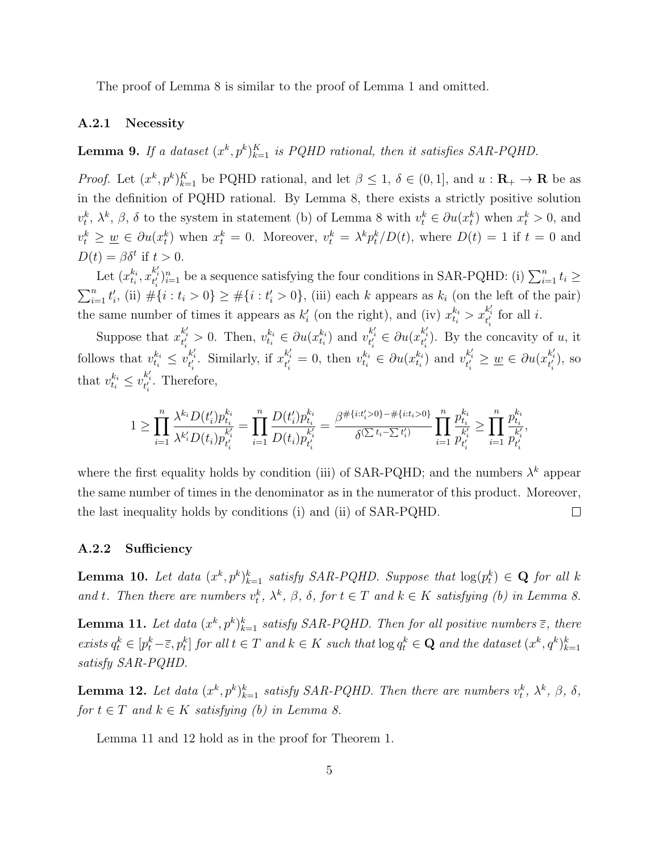The proof of Lemma [8](#page-4-1) is similar to the proof of Lemma 1 and omitted.

#### A.2.1 Necessity

**Lemma 9.** If a dataset  $(x^k, p^k)_{k=1}^K$  is PQHD rational, then it satisfies SAR-PQHD.

*Proof.* Let  $(x^k, p^k)_{k=1}^K$  be PQHD rational, and let  $\beta \leq 1$ ,  $\delta \in (0, 1]$ , and  $u : \mathbf{R}_+ \to \mathbf{R}$  be as in the definition of PQHD rational. By Lemma [8,](#page-4-1) there exists a strictly positive solution  $v_t^k$ ,  $\lambda^k$ ,  $\beta$ ,  $\delta$  to the system in statement [\(b\)](#page-4-2) of Lemma [8](#page-4-1) with  $v_t^k \in \partial u(x_t^k)$  when  $x_t^k > 0$ , and  $v_t^k \geq \underline{w} \in \partial u(x_t^k)$  when  $x_t^k = 0$ . Moreover,  $v_t^k = \lambda^k p_t^k / D(t)$ , where  $D(t) = 1$  if  $t = 0$  and  $D(t) = \beta \delta^t$  if  $t > 0$ .

Let  $(x_{t_i}^{k_i})$  $x_{t_i}^{k_i}, x_{t_i'}^{k_i'}\}_{i=1}^n$  be a sequence satisfying the four conditions in SAR-PQHD: [\(i\)](#page-8-1)  $\sum_{i=1}^n t_i \geq$  $\sum_{i=1}^{n} t'_{i}$ , [\(ii\)](#page-8-2)  $\#\{i : t_{i} > 0\} \geq \#\{i : t'_{i} > 0\}$ , (iii) each k appears as  $k_{i}$  (on the left of the pair) the same number of times it appears as  $k'_i$  (on the right), and (iv)  $x_{t_i}^{k_i} > x_{t'_i}^{k'_i}$  for all *i*.

Suppose that  $x_{t_i'}^{k_i'} > 0$ . Then,  $v_{t_i}^{k_i} \in \partial u(x_{t_i}^{k_i})$  $\left(x_i^{k_i}\right)$  and  $v_{t'_i}^{k'_i} \in \partial u(x_{t'_i}^{k'_i})$ . By the concavity of u, it follows that  $v_{t_i}^{k_i} \le v_{t_i'}^{k_i'}$ . Similarly, if  $x_{t_i'}^{k_i'} = 0$ , then  $v_{t_i}^{k_i} \in \partial u(x_{t_i}^{k_i})$  $\left(\begin{array}{c} k_i \\ t_i \end{array}\right)$  and  $v^{k'_i}_{t'_i} \geq \underline{w} \in \partial u(x^{k'_i}_{t'_i})$ , so that  $v_{t_i}^{k_i} \leq v_{t_i'}^{k_i'}$ . Therefore,

$$
1 \geq \prod_{i=1}^n \frac{\lambda^{k_i} D(t_i') p_{t_i}^{k_i}}{\lambda^{k_i'} D(t_i) p_{t_i'}^{k_i'}} = \prod_{i=1}^n \frac{D(t_i') p_{t_i}^{k_i}}{D(t_i) p_{t_i'}^{k_i'}} = \frac{\beta^{\# \{i : t_i' > 0\} - \# \{i : t_i > 0\}}}{\delta^{(\sum t_i - \sum t_i')} } \prod_{i=1}^n \frac{p_{t_i}^{k_i}}{p_{t_i'}^{k_i'}} \geq \prod_{i=1}^n \frac{p_{t_i}^{k_i}}{p_{t_i'}^{k_i'}}
$$

where the first equality holds by condition (iii) of SAR-PQHD; and the numbers  $\lambda^k$  appear the same number of times in the denominator as in the numerator of this product. Moreover, the last inequality holds by conditions [\(i\)](#page-8-1) and [\(ii\)](#page-8-2) of SAR-PQHD.  $\Box$ 

#### A.2.2 Sufficiency

<span id="page-5-2"></span>**Lemma 10.** Let data  $(x^k, p^k)_{k=1}^k$  satisfy SAR-PQHD. Suppose that  $log(p_t^k) \in \mathbf{Q}$  for all k and t. Then there are numbers  $v_t^k$ ,  $\lambda^k$ ,  $\beta$ ,  $\delta$ , for  $t \in T$  and  $k \in K$  satisfying [\(b\)](#page-4-2) in Lemma [8.](#page-4-1)

<span id="page-5-0"></span>**Lemma 11.** Let data  $(x^k, p^k)_{k=1}^k$  satisfy SAR-PQHD. Then for all positive numbers  $\overline{\epsilon}$ , there exists  $q_t^k \in [p_t^k - \overline{\varepsilon}, p_t^k]$  for all  $t \in T$  and  $k \in K$  such that  $\log q_t^k \in \mathbf{Q}$  and the dataset  $(x^k, q^k)_{k=1}^k$ satisfy SAR-PQHD.

<span id="page-5-1"></span>**Lemma 12.** Let data  $(x^k, p^k)_{k=1}^k$  satisfy SAR-PQHD. Then there are numbers  $v_t^k$ ,  $\lambda^k$ ,  $\beta$ ,  $\delta$ , for  $t \in T$  and  $k \in K$  satisfying [\(b\)](#page-4-2) in Lemma [8.](#page-4-1)

Lemma [11](#page-5-0) and [12](#page-5-1) hold as in the proof for Theorem 1.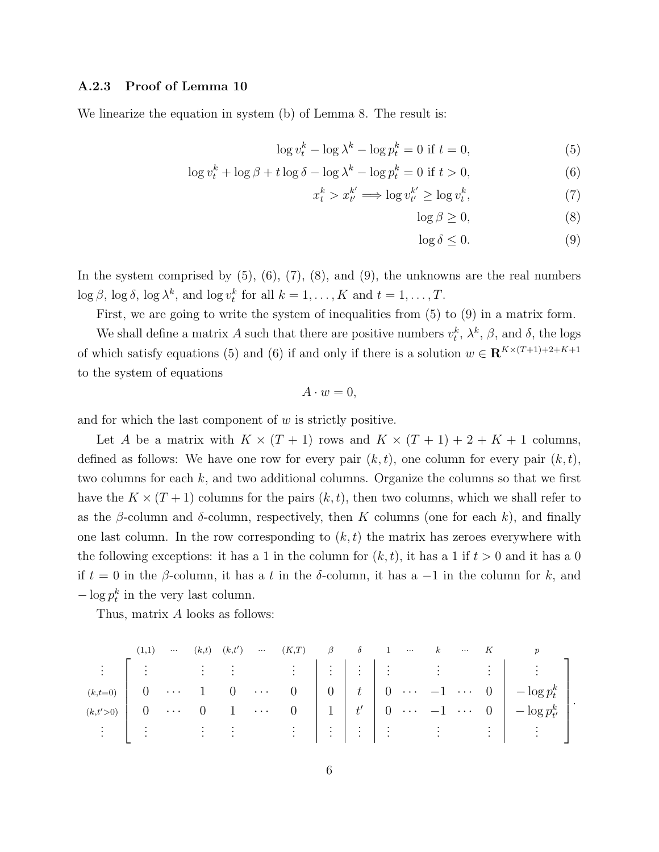#### A.2.3 Proof of Lemma [10](#page-5-2)

We linearize the equation in system [\(b\)](#page-4-2) of Lemma [8.](#page-4-1) The result is:

$$
\log v_t^k - \log \lambda^k - \log p_t^k = 0 \text{ if } t = 0,
$$
\n<sup>(5)</sup>

$$
\log v_t^k + \log \beta + t \log \delta - \log \lambda^k - \log p_t^k = 0 \text{ if } t > 0,
$$
\n(6)

$$
x_t^k > x_{t'}^{k'} \Longrightarrow \log v_{t'}^{k'} \ge \log v_t^k,\tag{7}
$$

<span id="page-6-3"></span><span id="page-6-2"></span><span id="page-6-1"></span><span id="page-6-0"></span>
$$
\log \beta \ge 0,\tag{8}
$$

<span id="page-6-4"></span>
$$
\log \delta \le 0. \tag{9}
$$

In the system comprised by  $(5)$ ,  $(6)$ ,  $(7)$ ,  $(8)$ , and  $(9)$ , the unknowns are the real numbers  $\log \beta$ ,  $\log \delta$ ,  $\log \lambda^k$ , and  $\log v_t^k$  for all  $k = 1, ..., K$  and  $t = 1, ..., T$ .

First, we are going to write the system of inequalities from [\(5\)](#page-6-0) to [\(9\)](#page-6-4) in a matrix form.

We shall define a matrix A such that there are positive numbers  $v_t^k$ ,  $\lambda^k$ ,  $\beta$ , and  $\delta$ , the logs of which satisfy equations [\(5\)](#page-6-0) and [\(6\)](#page-6-1) if and only if there is a solution  $w \in \mathbb{R}^{K \times (T+1)+2+K+1}$ to the system of equations

$$
A \cdot w = 0,
$$

and for which the last component of  $w$  is strictly positive.

Let A be a matrix with  $K \times (T + 1)$  rows and  $K \times (T + 1) + 2 + K + 1$  columns, defined as follows: We have one row for every pair  $(k, t)$ , one column for every pair  $(k, t)$ , two columns for each  $k$ , and two additional columns. Organize the columns so that we first have the  $K \times (T+1)$  columns for the pairs  $(k, t)$ , then two columns, which we shall refer to as the  $\beta$ -column and  $\delta$ -column, respectively, then K columns (one for each k), and finally one last column. In the row corresponding to  $(k, t)$  the matrix has zeroes everywhere with the following exceptions: it has a 1 in the column for  $(k, t)$ , it has a 1 if  $t > 0$  and it has a 0 if  $t = 0$  in the  $\beta$ -column, it has a t in the  $\delta$ -column, it has a -1 in the column for k, and  $-\log p_t^k$  in the very last column.

Thus, matrix A looks as follows:

$$
(k, t=0) \left[\begin{array}{ccccccccc} (1,1) & \cdots & (k,t) & (k,t') & \cdots & (K,T) & \beta & \delta & 1 & \cdots & k & \cdots & K & p \\ \vdots & & \vdots & & \vdots & & \vdots & & \vdots & \vdots & & \vdots & & \vdots \\ (k, t=0) & 0 & \cdots & 1 & 0 & \cdots & 0 & 0 & t & 0 & \cdots & -1 & \cdots & 0 & -\log p_t^k \\ (k, t'>0) & 0 & \cdots & 0 & 1 & \cdots & 0 & 1 & t' & 0 & \cdots & -1 & \cdots & 0 & -\log p_{t'}^k \\ \vdots & & \vdots & & \vdots & & \vdots & & \vdots & & \vdots & & \vdots & & \vdots \end{array}\right].
$$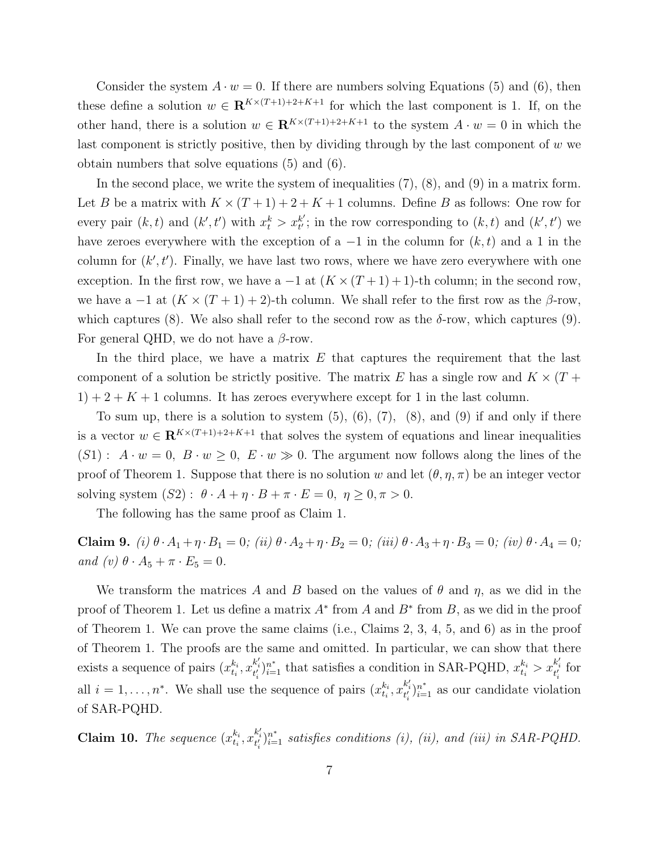Consider the system  $A \cdot w = 0$ . If there are numbers solving Equations [\(5\)](#page-6-0) and [\(6\)](#page-6-1), then these define a solution  $w \in \mathbb{R}^{K \times (T+1)+2+K+1}$  for which the last component is 1. If, on the other hand, there is a solution  $w \in \mathbb{R}^{K \times (T+1)+2+K+1}$  to the system  $A \cdot w = 0$  in which the last component is strictly positive, then by dividing through by the last component of w we obtain numbers that solve equations [\(5\)](#page-6-0) and [\(6\)](#page-6-1).

In the second place, we write the system of inequalities [\(7\)](#page-6-2), [\(8\)](#page-6-3), and [\(9\)](#page-6-4) in a matrix form. Let B be a matrix with  $K \times (T+1) + 2 + K + 1$  columns. Define B as follows: One row for every pair  $(k, t)$  and  $(k', t')$  with  $x_t^k > x_{t'}^{k'}$  $t'_{t'}$ ; in the row corresponding to  $(k, t)$  and  $(k', t')$  we have zeroes everywhere with the exception of a  $-1$  in the column for  $(k, t)$  and a 1 in the column for  $(k', t')$ . Finally, we have last two rows, where we have zero everywhere with one exception. In the first row, we have a  $-1$  at  $(K \times (T + 1) + 1)$ -th column; in the second row, we have a  $-1$  at  $(K \times (T + 1) + 2)$ -th column. We shall refer to the first row as the  $\beta$ -row, which captures [\(8\)](#page-6-3). We also shall refer to the second row as the  $\delta$ -row, which captures [\(9\)](#page-6-4). For general QHD, we do not have a  $\beta$ -row.

In the third place, we have a matrix  $E$  that captures the requirement that the last component of a solution be strictly positive. The matrix E has a single row and  $K \times (T +$  $1+2+K+1$  columns. It has zeroes everywhere except for 1 in the last column.

To sum up, there is a solution to system  $(5)$ ,  $(6)$ ,  $(7)$ ,  $(8)$ , and  $(9)$  if and only if there is a vector  $w \in \mathbb{R}^{K \times (T+1)+2+K+1}$  that solves the system of equations and linear inequalities  $(S1) : A \cdot w = 0, B \cdot w \ge 0, E \cdot w \gg 0.$  The argument now follows along the lines of the proof of Theorem 1. Suppose that there is no solution w and let  $(\theta, \eta, \pi)$  be an integer vector solving system  $(S2)$ :  $\theta \cdot A + \eta \cdot B + \pi \cdot E = 0, \ \eta \geq 0, \pi > 0.$ 

The following has the same proof as Claim 1.

<span id="page-7-0"></span>Claim 9. (i)  $\theta \cdot A_1 + \eta \cdot B_1 = 0$ ; (ii)  $\theta \cdot A_2 + \eta \cdot B_2 = 0$ ; (iii)  $\theta \cdot A_3 + \eta \cdot B_3 = 0$ ; (iv)  $\theta \cdot A_4 = 0$ ; and (v)  $\theta \cdot A_5 + \pi \cdot E_5 = 0$ .

We transform the matrices A and B based on the values of  $\theta$  and  $\eta$ , as we did in the proof of Theorem 1. Let us define a matrix  $A^*$  from A and  $B^*$  from B, as we did in the proof of Theorem 1. We can prove the same claims (i.e., Claims 2, 3, 4, 5, and 6) as in the proof of Theorem 1. The proofs are the same and omitted. In particular, we can show that there exists a sequence of pairs  $(x_{t_i}^{k_i})$  $x_{t_i}^{k_i}, x_{t_i'}^{k_i'}\}_{i=1}^{n^*}$  that satisfies a condition in SAR-PQHD,  $x_{t_i}^{k_i} > x_{t_i'}^{k_i'}$  for all  $i = 1, \ldots, n^*$ . We shall use the sequence of pairs  $(x_{t_i}^{k_i})$  $x_i^{k_i}, x_{t'_i}^{k'_i}$ <sub>i-1</sub> as our candidate violation of SAR-PQHD.

**Claim 10.** The sequence  $(x_{t_i}^{k_i})$  $t_{i}^{k_{i}}, x_{t'_{i}}^{k'_{i}})_{i=1}^{n^{*}}$  satisfies conditions [\(i\),](#page-8-1) [\(ii\),](#page-8-2) and (iii) in SAR-PQHD.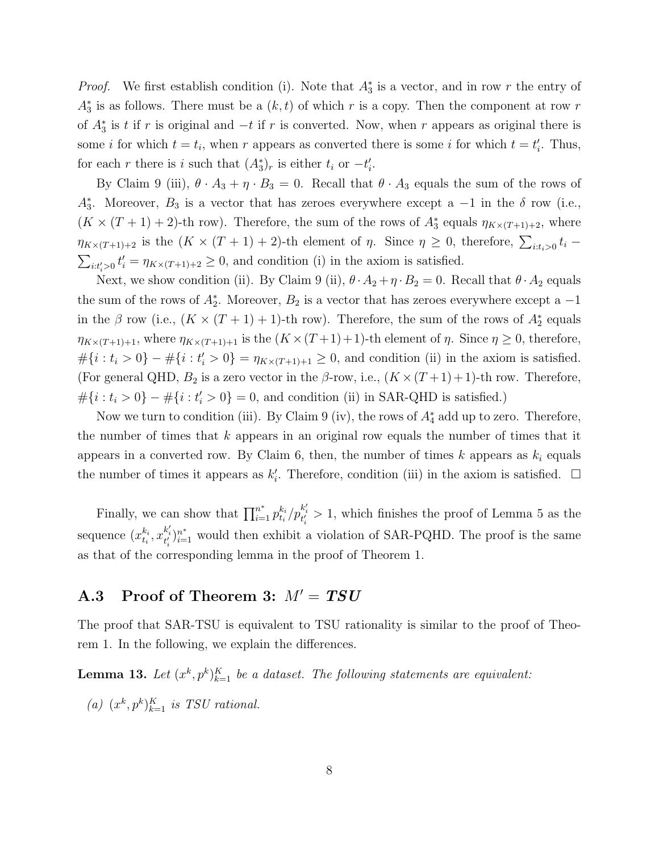*Proof.* We first establish condition [\(i\).](#page-8-1) Note that  $A_3^*$  is a vector, and in row r the entry of  $A_3^*$  is as follows. There must be a  $(k, t)$  of which r is a copy. Then the component at row r of  $A_3^*$  is t if r is original and  $-t$  if r is converted. Now, when r appears as original there is some *i* for which  $t = t_i$ , when *r* appears as converted there is some *i* for which  $t = t'_i$ . Thus, for each r there is i such that  $(A_3^*)_r$  is either  $t_i$  or  $-t'_i$ .

By Claim [9](#page-7-0) (iii),  $\theta \cdot A_3 + \eta \cdot B_3 = 0$ . Recall that  $\theta \cdot A_3$  equals the sum of the rows of  $A_3^*$ . Moreover,  $B_3$  is a vector that has zeroes everywhere except a  $-1$  in the  $\delta$  row (i.e.,  $(K \times (T+1)+2)$ -th row). Therefore, the sum of the rows of  $A_3^*$  equals  $\eta_{K \times (T+1)+2}$ , where  $\eta_{K \times (T+1)+2}$  is the  $(K \times (T+1)+2)$ -th element of  $\eta$ . Since  $\eta \geq 0$ , therefore,  $\sum_{i:t_i>0} t_i$  $\sum_{i:t'_i>0} t'_i = \eta_{K\times (T+1)+2} \geq 0$ , and condition [\(i\)](#page-8-1) in the axiom is satisfied.

Next, we show condition [\(ii\).](#page-8-2) By Claim [9](#page-7-0) (ii),  $\theta \cdot A_2 + \eta \cdot B_2 = 0$ . Recall that  $\theta \cdot A_2$  equals the sum of the rows of  $A_2^*$ . Moreover,  $B_2$  is a vector that has zeroes everywhere except a  $-1$ in the  $\beta$  row (i.e.,  $(K \times (T + 1) + 1)$ -th row). Therefore, the sum of the rows of  $A_2^*$  equals  $\eta_{K \times (T+1)+1}$ , where  $\eta_{K \times (T+1)+1}$  is the  $(K \times (T+1)+1)$ -th element of  $\eta$ . Since  $\eta \geq 0$ , therefore,  $\#\{i : t_i > 0\} - \#\{i : t'_i > 0\} = \eta_{K \times (T+1)+1} \geq 0$ , and condition [\(ii\)](#page-8-2) in the axiom is satisfied. (For general QHD,  $B_2$  is a zero vector in the  $\beta$ -row, i.e.,  $(K \times (T + 1) + 1)$ -th row. Therefore,  $\#\{i : t_i > 0\} - \#\{i : t'_i > 0\} = 0$ , and condition [\(ii\)](#page-4-2) in SAR-QHD is satisfied.)

Now we turn to condition (iii). By Claim [9](#page-7-0) (iv), the rows of  $A_4^*$  add up to zero. Therefore, the number of times that  $k$  appears in an original row equals the number of times that it appears in a converted row. By Claim 6, then, the number of times  $k$  appears as  $k_i$  equals the number of times it appears as  $k'_i$ . Therefore, condition (iii) in the axiom is satisfied.  $\Box$ 

Finally, we can show that  $\prod_{i=1}^{n^*} p_{t_i}^{k_i}$  $\frac{k_i}{t_i}/p_{t'_i}^{k'_i} > 1$ , which finishes the proof of Lemma 5 as the sequence  $(x_{t_i}^{k_i})$  $x_i^{k_i}, x_{t'_i}^{k'_i}$ <sub>i</sub><sup>\*</sup><sub>i</sub> would then exhibit a violation of SAR-PQHD. The proof is the same as that of the corresponding lemma in the proof of Theorem 1.

### <span id="page-8-0"></span>A.3 Proof of Theorem 3:  $M' = TSU$

The proof that SAR-TSU is equivalent to TSU rationality is similar to the proof of Theorem 1. In the following, we explain the differences.

<span id="page-8-3"></span>**Lemma 13.** Let  $(x^k, p^k)_{k=1}^K$  be a dataset. The following statements are equivalent:

<span id="page-8-2"></span><span id="page-8-1"></span>(a)  $(x^k, p^k)_{k=1}^K$  is TSU rational.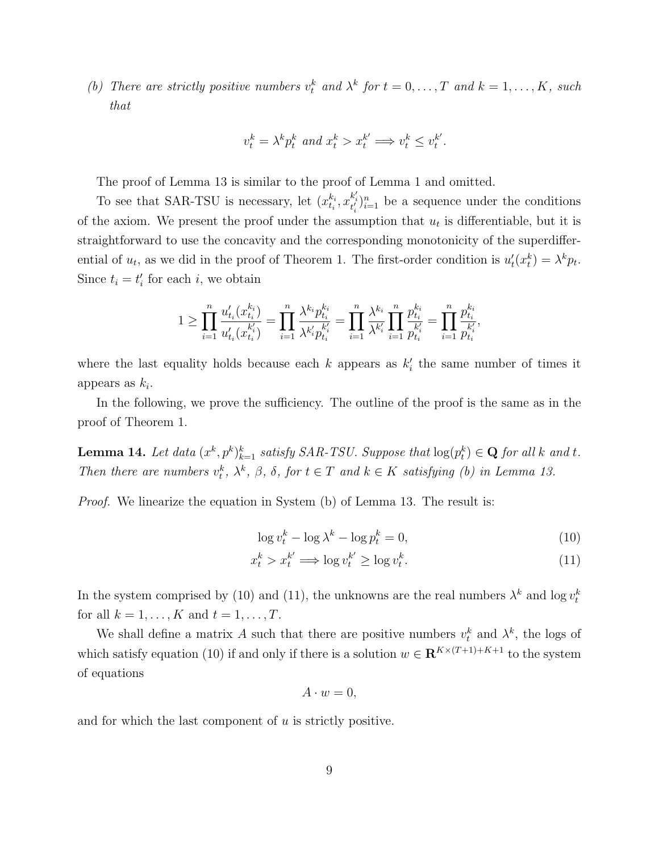(b) There are strictly positive numbers  $v_t^k$  and  $\lambda^k$  for  $t = 0, \ldots, T$  and  $k = 1, \ldots, K$ , such that

$$
v^k_t = \lambda^k p^k_t \text{ and } x^k_t > x^{k'}_t \Longrightarrow v^k_t \leq v^{k'}_t.
$$

The proof of Lemma [13](#page-8-3) is similar to the proof of Lemma 1 and omitted.

To see that SAR-TSU is necessary, let  $(x_{t_i}^{k_i})$  $x_i^{k_i}, x_{t'_i}^{k'_i} \}_{i=1}^n$  be a sequence under the conditions of the axiom. We present the proof under the assumption that  $u_t$  is differentiable, but it is straightforward to use the concavity and the corresponding monotonicity of the superdifferential of  $u_t$ , as we did in the proof of Theorem 1. The first-order condition is  $u'_t(x_t^k) = \lambda^k p_t$ . Since  $t_i = t'_i$  for each i, we obtain

$$
1 \geq \prod_{i=1}^n \frac{u'_{t_i}(x_{t_i}^{k_i})}{u'_{t_i}(x_{t_i}^{k_i'})} = \prod_{i=1}^n \frac{\lambda^{k_i} p_{t_i}^{k_i}}{\lambda^{k_i'} p_{t_i}^{k_i'}} = \prod_{i=1}^n \frac{\lambda^{k_i}}{\lambda^{k_i'}} \prod_{i=1}^n \frac{p_{t_i}^{k_i}}{p_{t_i}^{k_i'}} = \prod_{i=1}^n \frac{p_{t_i}^{k_i}}{p_{t_i}^{k_i'}}
$$

where the last equality holds because each  $k$  appears as  $k'_{i}$  the same number of times it appears as  $k_i$ .

In the following, we prove the sufficiency. The outline of the proof is the same as in the proof of Theorem 1.

<span id="page-9-2"></span>**Lemma 14.** Let data  $(x^k, p^k)_{k=1}^k$  satisfy SAR-TSU. Suppose that  $\log(p_t^k) \in \mathbf{Q}$  for all k and t. Then there are numbers  $v_t^k$ ,  $\lambda^k$ ,  $\beta$ ,  $\delta$ , for  $t \in T$  and  $k \in K$  satisfying [\(b\)](#page-8-2) in Lemma [13.](#page-8-3)

*Proof.* We linearize the equation in System  $(b)$  of Lemma [13.](#page-8-3) The result is:

<span id="page-9-0"></span>
$$
\log v_t^k - \log \lambda^k - \log p_t^k = 0,\tag{10}
$$

$$
x_t^k > x_t^{k'} \Longrightarrow \log v_t^{k'} \ge \log v_t^k. \tag{11}
$$

In the system comprised by [\(10\)](#page-9-0) and [\(11\)](#page-9-1), the unknowns are the real numbers  $\lambda^k$  and  $\log v_t^k$ for all  $k = 1, ..., K$  and  $t = 1, ..., T$ .

We shall define a matrix A such that there are positive numbers  $v_t^k$  and  $\lambda^k$ , the logs of which satisfy equation [\(10\)](#page-9-0) if and only if there is a solution  $w \in \mathbb{R}^{K \times (T+1)+K+1}$  to the system of equations

<span id="page-9-1"></span>
$$
A \cdot w = 0,
$$

and for which the last component of  $u$  is strictly positive.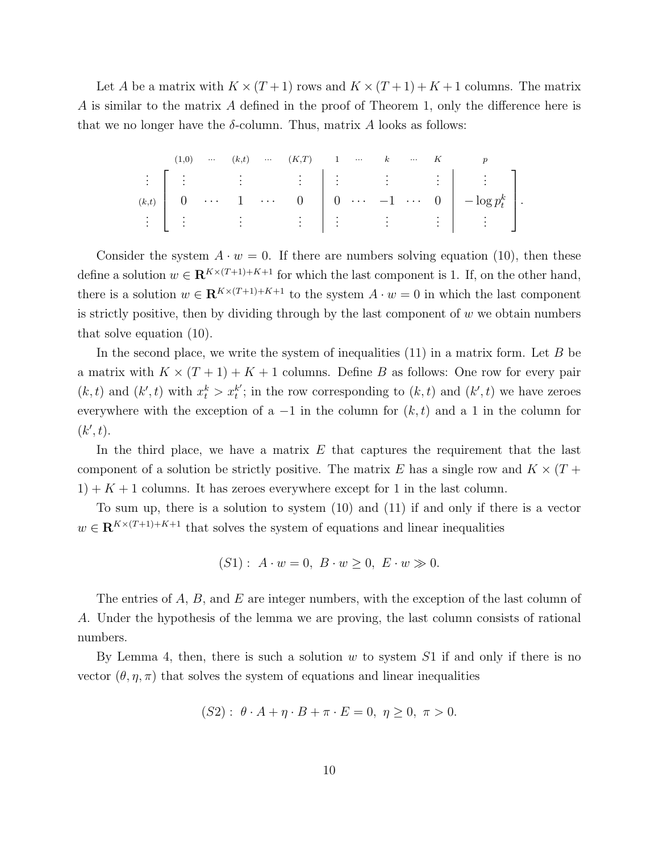Let A be a matrix with  $K \times (T+1)$  rows and  $K \times (T+1) + K + 1$  columns. The matrix A is similar to the matrix A defined in the proof of Theorem 1, only the difference here is that we no longer have the  $\delta$ -column. Thus, matrix A looks as follows:

$$
\begin{array}{ccccccccc}\n(1,0) & \cdots & (k,t) & \cdots & (K,T) & 1 & \cdots & k & \cdots & K & p \\
\vdots & \vdots & \vdots & & \vdots & & \vdots & & \vdots \\
(k,t) & 0 & \cdots & 1 & \cdots & 0 & 0 & \cdots & -1 & \cdots & 0 & -\log p_t^k \\
\vdots & \vdots & & \vdots & & \vdots & & \vdots & & \vdots\n\end{array}
$$

Consider the system  $A \cdot w = 0$ . If there are numbers solving equation [\(10\)](#page-9-0), then these define a solution  $w \in \mathbb{R}^{K \times (T+1)+K+1}$  for which the last component is 1. If, on the other hand, there is a solution  $w \in \mathbb{R}^{K \times (T+1)+K+1}$  to the system  $A \cdot w = 0$  in which the last component is strictly positive, then by dividing through by the last component of  $w$  we obtain numbers that solve equation [\(10\)](#page-9-0).

In the second place, we write the system of inequalities  $(11)$  in a matrix form. Let B be a matrix with  $K \times (T + 1) + K + 1$  columns. Define B as follows: One row for every pair  $(k, t)$  and  $(k', t)$  with  $x_t^k > x_t^{k'}$  $t_i^{(k)}$ ; in the row corresponding to  $(k, t)$  and  $(k', t)$  we have zeroes everywhere with the exception of a  $-1$  in the column for  $(k, t)$  and a 1 in the column for  $(k', t)$ .

In the third place, we have a matrix  $E$  that captures the requirement that the last component of a solution be strictly positive. The matrix E has a single row and  $K \times (T +$  $1+K+1$  columns. It has zeroes everywhere except for 1 in the last column.

To sum up, there is a solution to system [\(10\)](#page-9-0) and [\(11\)](#page-9-1) if and only if there is a vector  $w \in \mathbf{R}^{K \times (T+1) + K + 1}$  that solves the system of equations and linear inequalities

$$
(S1): A \cdot w = 0, B \cdot w \ge 0, E \cdot w \gg 0.
$$

The entries of  $A, B$ , and  $E$  are integer numbers, with the exception of the last column of A. Under the hypothesis of the lemma we are proving, the last column consists of rational numbers.

By Lemma 4, then, there is such a solution  $w$  to system  $S1$  if and only if there is no vector  $(\theta, \eta, \pi)$  that solves the system of equations and linear inequalities

$$
(S2): \theta \cdot A + \eta \cdot B + \pi \cdot E = 0, \ \eta \ge 0, \ \pi > 0.
$$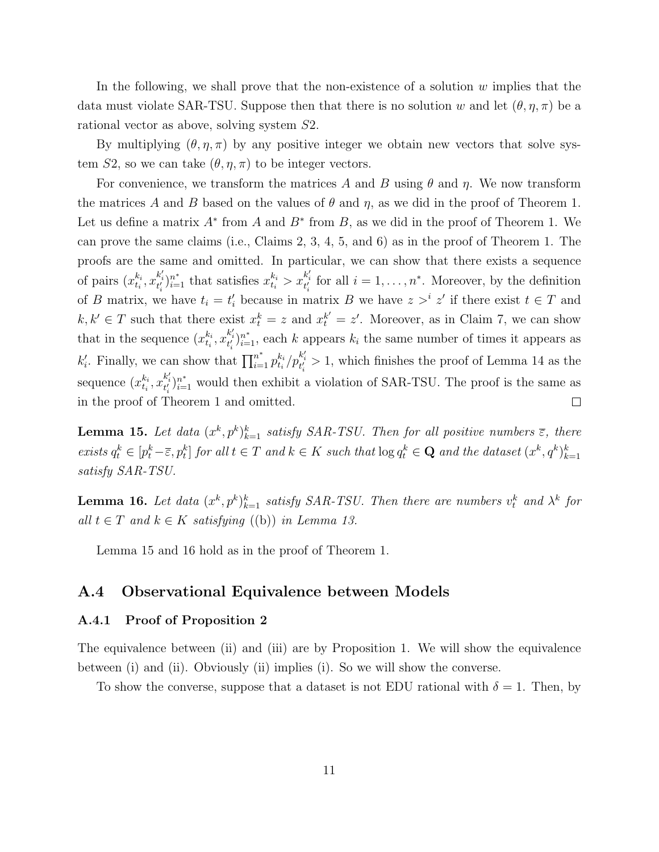In the following, we shall prove that the non-existence of a solution  $w$  implies that the data must violate SAR-TSU. Suppose then that there is no solution w and let  $(\theta, \eta, \pi)$  be a rational vector as above, solving system S2.

By multiplying  $(\theta, \eta, \pi)$  by any positive integer we obtain new vectors that solve system S2, so we can take  $(\theta, \eta, \pi)$  to be integer vectors.

For convenience, we transform the matrices A and B using  $\theta$  and  $\eta$ . We now transform the matrices A and B based on the values of  $\theta$  and  $\eta$ , as we did in the proof of Theorem 1. Let us define a matrix  $A^*$  from  $A$  and  $B^*$  from  $B$ , as we did in the proof of Theorem 1. We can prove the same claims (i.e., Claims 2, 3, 4, 5, and 6) as in the proof of Theorem 1. The proofs are the same and omitted. In particular, we can show that there exists a sequence  $x_{t_i}^{k_i}, x_{t'_i}^{k'_i}$ ,  $x_{t_i}^{k_i}$  that satisfies  $x_{t_i}^{k_i} > x_{t'_i}^{k'_i}$  for all  $i = 1, \ldots, n^*$ . Moreover, by the definition of pairs  $(x_{t_i}^{k_i})$ of B matrix, we have  $t_i = t'_i$  because in matrix B we have  $z >^i z'$  if there exist  $t \in T$  and  $k, k' \in T$  such that there exist  $x_t^k = z$  and  $x_t^{k'} = z'$ . Moreover, as in Claim 7, we can show  $x_i^{k_i}, x_{t_i'}^{k_i'}$ <sub>i-1</sub>, each k appears  $k_i$  the same number of times it appears as that in the sequence  $(x_{t_i}^{k_i})$  $\frac{k_i}{t_i}/p_{t'_i}^{k'_i} > 1$ , which finishes the proof of Lemma [14](#page-9-2) as the  $k'_i$ . Finally, we can show that  $\prod_{i=1}^{n^*} p_{t_i}^{k_i}$  $x_i^{k_i}, x_{t'_i}^{k'_i}$ <sub>i</sub><sup>\*</sup><sub>i</sub> would then exhibit a violation of SAR-TSU. The proof is the same as sequence  $(x_{t_i}^{k_i})$ in the proof of Theorem 1 and omitted.  $\Box$ 

<span id="page-11-1"></span>**Lemma 15.** Let data  $(x^k, p^k)_{k=1}^k$  satisfy SAR-TSU. Then for all positive numbers  $\overline{\epsilon}$ , there exists  $q_t^k \in [p_t^k - \overline{\varepsilon}, p_t^k]$  for all  $t \in T$  and  $k \in K$  such that  $\log q_t^k \in \mathbf{Q}$  and the dataset  $(x^k, q^k)_{k=1}^k$ satisfy SAR-TSU.

<span id="page-11-2"></span>**Lemma 16.** Let data  $(x^k, p^k)_{k=1}^k$  satisfy SAR-TSU. Then there are numbers  $v_t^k$  and  $\lambda^k$  for all  $t \in T$  and  $k \in K$  satisfying [\(\(b\)\)](#page-8-2) in Lemma [13.](#page-8-3)

Lemma [15](#page-11-1) and [16](#page-11-2) hold as in the proof of Theorem 1.

#### <span id="page-11-0"></span>A.4 Observational Equivalence between Models

#### A.4.1 Proof of Proposition 2

The equivalence between (ii) and (iii) are by Proposition 1. We will show the equivalence between (i) and (ii). Obviously (ii) implies (i). So we will show the converse.

To show the converse, suppose that a dataset is not EDU rational with  $\delta = 1$ . Then, by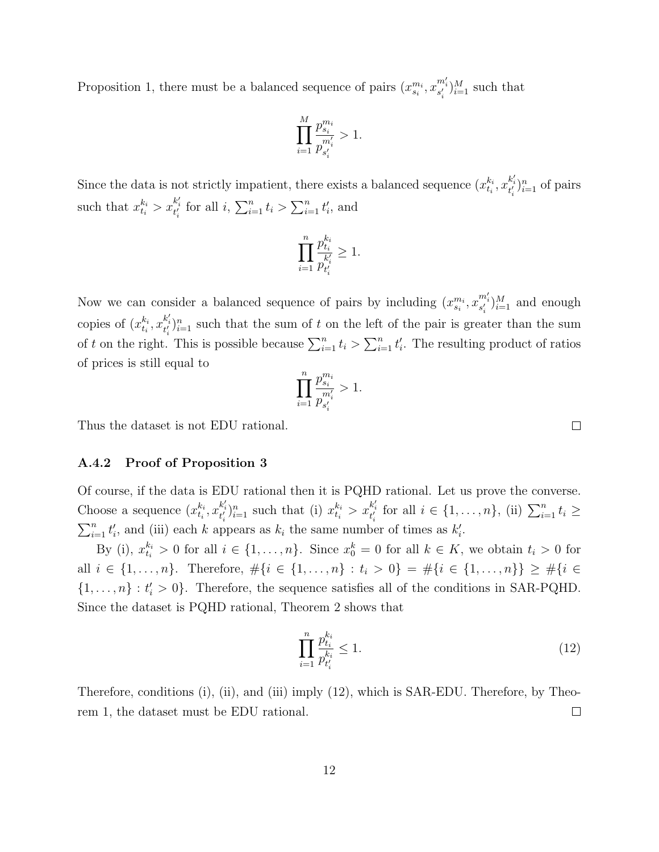Proposition 1, there must be a balanced sequence of pairs  $(x_{s_i}^{m_i}, x_{s'_i}^{m'_i})_{i=1}^M$  such that

$$
\prod_{i=1}^{M} \frac{p_{s_i}^{m_i}}{p_{s_i'}} > 1.
$$

Since the data is not strictly impatient, there exists a balanced sequence  $(x_{t_i}^{k_i})$  $_{t_{i}}^{k_{i}}, x_{t'_{i}}^{k'_{i}}$ <sub>i=1</sub> of pairs such that  $x_{t_i}^{k_i} > x_{t_i'}^{k_i'}$  for all  $i, \sum_{i=1}^n t_i > \sum_{i=1}^n t_i'$ , and

$$
\prod_{i=1}^n\frac{p_{t_i}^{k_i}}{p_{t_i^{\prime}}^{k_i^{\prime}}}\geq 1.
$$

Now we can consider a balanced sequence of pairs by including  $(x_{s_i}^{m_i}, x_{s'_i}^{m'_i})_{i=1}^M$  and enough copies of  $(x_{t_i}^{k_i})$  $x_i^{k_i}, x_{t_i'}^{k_i'}\}_{i=1}^n$  such that the sum of t on the left of the pair is greater than the sum of t on the right. This is possible because  $\sum_{i=1}^{n} t_i > \sum_{i=1}^{n} t'_i$ . The resulting product of ratios of prices is still equal to

$$
\prod_{i=1}^{n} \frac{p_{s_i}^{m_i}}{p_{s_i'}} > 1.
$$

Thus the dataset is not EDU rational.

#### A.4.2 Proof of Proposition 3

Of course, if the data is EDU rational then it is PQHD rational. Let us prove the converse. Choose a sequence  $(x_{t_i}^{k_i})$  $x_{t_i}^{k_i}, x_{t_i'}^{k_i'}\}_{i=1}^n$  such that (i)  $x_{t_i}^{k_i} > x_{t_i'}^{k_i'}$  for all  $i \in \{1, ..., n\}$ , (ii)  $\sum_{i=1}^n t_i \geq$  $\sum_{i=1}^{n} t'_{i}$ , and (iii) each k appears as  $k_{i}$  the same number of times as  $k'_{i}$ .

By (i),  $x_{t_i}^{k_i} > 0$  for all  $i \in \{1, \ldots, n\}$ . Since  $x_0^k = 0$  for all  $k \in K$ , we obtain  $t_i > 0$  for all  $i \in \{1, ..., n\}$ . Therefore,  $\#\{i \in \{1, ..., n\} : t_i > 0\} = \#\{i \in \{1, ..., n\}\} \ge \#\{i \in \{1, ..., n\}\}$  $\{1, \ldots, n\} : t'_i > 0\}$ . Therefore, the sequence satisfies all of the conditions in SAR-PQHD. Since the dataset is PQHD rational, Theorem 2 shows that

<span id="page-12-0"></span>
$$
\prod_{i=1}^{n} \frac{p_{t_i}^{k_i}}{p_{t_i'}} \le 1.
$$
\n(12)

Therefore, conditions (i), (ii), and (iii) imply [\(12\)](#page-12-0), which is SAR-EDU. Therefore, by Theorem 1, the dataset must be EDU rational.  $\Box$ 

 $\Box$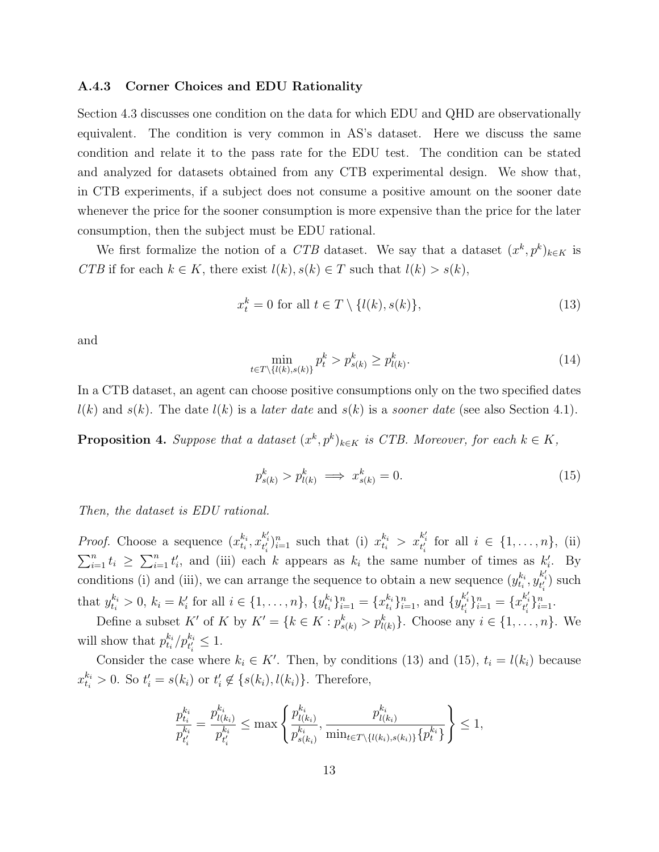#### A.4.3 Corner Choices and EDU Rationality

Section 4.3 discusses one condition on the data for which EDU and QHD are observationally equivalent. The condition is very common in AS's dataset. Here we discuss the same condition and relate it to the pass rate for the EDU test. The condition can be stated and analyzed for datasets obtained from any CTB experimental design. We show that, in CTB experiments, if a subject does not consume a positive amount on the sooner date whenever the price for the sooner consumption is more expensive than the price for the later consumption, then the subject must be EDU rational.

We first formalize the notion of a CTB dataset. We say that a dataset  $(x^k, p^k)_{k \in K}$  is CTB if for each  $k \in K$ , there exist  $l(k)$ ,  $s(k) \in T$  such that  $l(k) > s(k)$ ,

<span id="page-13-0"></span>
$$
x_t^k = 0 \text{ for all } t \in T \setminus \{l(k), s(k)\},\tag{13}
$$

and

<span id="page-13-2"></span>
$$
\min_{t \in T \setminus \{l(k), s(k)\}} p_t^k > p_{s(k)}^k \ge p_{l(k)}^k. \tag{14}
$$

In a CTB dataset, an agent can choose positive consumptions only on the two specified dates  $l(k)$  and  $s(k)$ . The date  $l(k)$  is a *later date* and  $s(k)$  is a *sooner date* (see also Section 4.1).

**Proposition 4.** Suppose that a dataset  $(x^k, p^k)_{k \in K}$  is CTB. Moreover, for each  $k \in K$ ,

<span id="page-13-1"></span>
$$
p_{s(k)}^k > p_{l(k)}^k \implies x_{s(k)}^k = 0.
$$
\n<sup>(15)</sup>

Then, the dataset is EDU rational.

*Proof.* Choose a sequence  $(x_{t_i}^{k_i})$  $x_{t_i}^{k_i}, x_{t'_i}^{k'_i} \}_{i=1}^n$  such that (i)  $x_{t_i}^{k_i} > x_{t'_i}^{k'_i}$  for all  $i \in \{1, ..., n\}$ , (ii)  $\sum_{i=1}^n t_i \geq \sum_{i=1}^n t'_i$ , and (iii) each k appears as  $k_i$  the same number of times as  $k'_i$ . By conditions (i) and (iii), we can arrange the sequence to obtain a new sequence  $(y_{t_i}^{k_i})$  $t_i^{k_i}, y_{t'_i}^{k'_i}$ ) such that  $y_{t_i}^{k_i} > 0$ ,  $k_i = k'_i$  for all  $i \in \{1, ..., n\}$ ,  $\{y_{t_i}^{k_i} \}$  ${}_{t_i}^{k_i} \rbrace_{i=1}^n = \{x_{t_i}^{k_i}$  $\{x_{i}^{k_{i}}\}_{i=1}^{n}$ , and  $\{y_{t'_{i}}^{k'_{i}}\}_{i=1}^{n} = \{x_{t'_{i}}^{k'_{i}}\}_{i=1}^{n}$ .

Define a subset K' of K by  $K' = \{k \in K : p_{s(k)}^k > p_{l(k)}^k\}$ . Choose any  $i \in \{1, \ldots, n\}$ . We will show that  $p_{t_i}^{k_i}$  $\binom{k_i}{t_i} p_{t'_i}^{k_i} \leq 1.$ 

Consider the case where  $k_i \in K'$ . Then, by conditions [\(13\)](#page-13-0) and [\(15\)](#page-13-1),  $t_i = l(k_i)$  because  $x_{t_i}^{k_i} > 0$ . So  $t_i' = s(k_i)$  or  $t_i' \notin \{s(k_i), l(k_i)\}$ . Therefore,

$$
\frac{p_{t_i}^{k_i}}{p_{t_i}^{k_i}} = \frac{p_{l(k_i)}^{k_i}}{p_{t_i}^{k_i}} \le \max\left\{\frac{p_{l(k_i)}^{k_i}}{p_{s(k_i)}^{k_i}}, \frac{p_{l(k_i)}^{k_i}}{\min_{t \in T \setminus \{l(k_i), s(k_i)\}} \{p_t^{k_i}\}}\right\} \le 1,
$$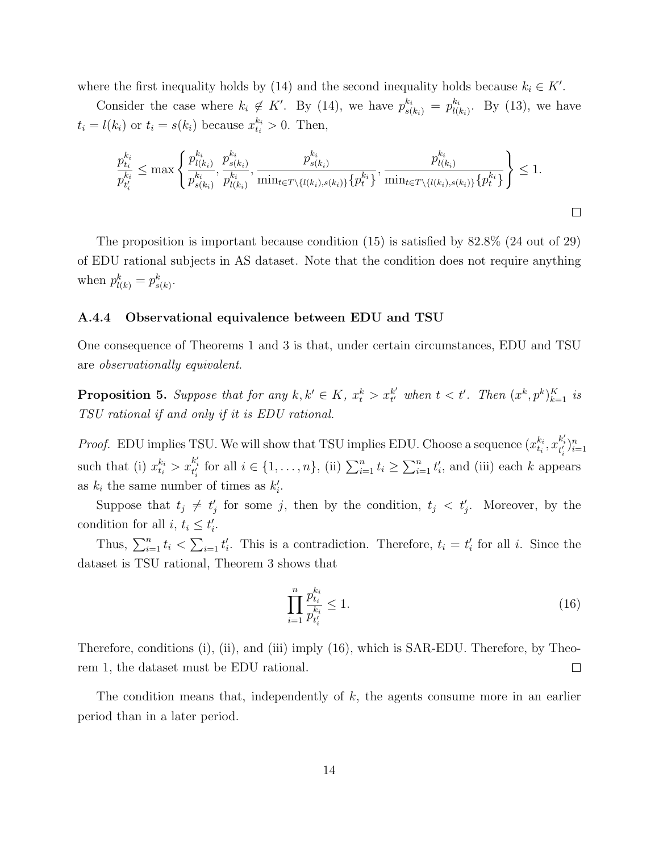where the first inequality holds by [\(14\)](#page-13-2) and the second inequality holds because  $k_i \in K'.$ 

Consider the case where  $k_i \notin K'$ . By [\(14\)](#page-13-2), we have  $p_{s(k_i)}^{k_i} = p_{l(i)}^{k_i}$  $\frac{k_i}{l(k_i)}$ . By [\(13\)](#page-13-0), we have  $t_i = l(k_i)$  or  $t_i = s(k_i)$  because  $x_{t_i}^{k_i} > 0$ . Then,

$$
\frac{p_{t_i}^{k_i}}{p_{t_i}^{k_i}} \le \max \left\{ \frac{p_{l(k_i)}^{k_i}}{p_{s(k_i)}^{k_i}}, \frac{p_{s(k_i)}^{k_i}}{p_{l(k_i)}^{k_i}}, \frac{p_{s(k_i)}^{k_i}}{\min_{t \in T \setminus \{l(k_i), s(k_i)\}} \{p_t^{k_i}\}}, \frac{p_{l(k_i)}^{k_i}}{\min_{t \in T \setminus \{l(k_i), s(k_i)\}} \{p_t^{k_i}\}} \right\} \le 1.
$$

The proposition is important because condition [\(15\)](#page-13-1) is satisfied by 82.8% (24 out of 29) of EDU rational subjects in AS dataset. Note that the condition does not require anything when  $p_{l(k)}^k = p_{s(k)}^k$ .

#### A.4.4 Observational equivalence between EDU and TSU

One consequence of Theorems 1 and 3 is that, under certain circumstances, EDU and TSU are observationally equivalent.

**Proposition 5.** Suppose that for any  $k, k' \in K$ ,  $x_t^k > x_{t'}^{k'}$  $_{t'}^{k'}$  when  $t < t'$ . Then  $(x^k, p^k)_{k=1}^K$  is TSU rational if and only if it is EDU rational.

*Proof.* EDU implies TSU. We will show that TSU implies EDU. Choose a sequence  $(x_{t_i}^{k_i})$  $_{t_{i}}^{k_{i}},x_{t_{i}^{\prime}}^{k_{i}^{\prime}})_{i=1}^{n}$ such that (i)  $x_{t_i}^{k_i} > x_{t_i'}^{k_i'}$  for all  $i \in \{1, ..., n\}$ , (ii)  $\sum_{i=1}^n t_i \ge \sum_{i=1}^n t_i'$ , and (iii) each k appears as  $k_i$  the same number of times as  $k'_i$ .

Suppose that  $t_j \neq t'_j$  for some j, then by the condition,  $t_j < t'_j$ . Moreover, by the condition for all  $i, t_i \leq t'_i$ .

Thus,  $\sum_{i=1}^{n} t_i < \sum_{i=1}^{n} t'_i$ . This is a contradiction. Therefore,  $t_i = t'_i$  for all i. Since the dataset is TSU rational, Theorem 3 shows that

<span id="page-14-0"></span>
$$
\prod_{i=1}^{n} \frac{p_{t_i}^{k_i}}{p_{t_i}^{k_i}} \le 1.
$$
\n(16)

Therefore, conditions (i), (ii), and (iii) imply [\(16\)](#page-14-0), which is SAR-EDU. Therefore, by Theorem 1, the dataset must be EDU rational.  $\Box$ 

The condition means that, independently of k, the agents consume more in an earlier period than in a later period.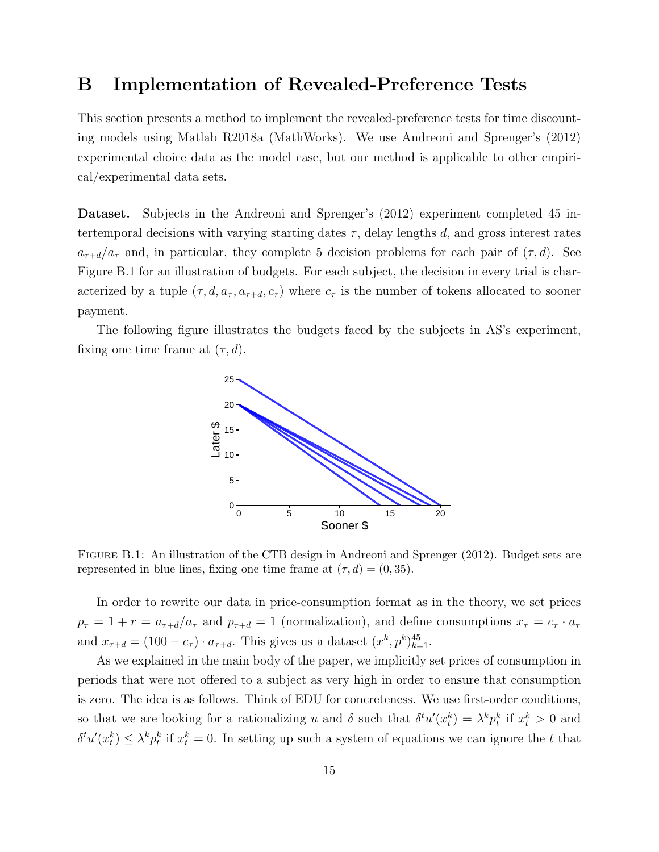### <span id="page-15-0"></span>B Implementation of Revealed-Preference Tests

This section presents a method to implement the revealed-preference tests for time discounting models using Matlab R2018a (MathWorks). We use [Andreoni and Sprenger'](#page-28-0)s [\(2012\)](#page-28-0) experimental choice data as the model case, but our method is applicable to other empirical/experimental data sets.

Dataset. Subjects in the [Andreoni and Sprenger'](#page-28-0)s [\(2012\)](#page-28-0) experiment completed 45 intertemporal decisions with varying starting dates  $\tau$ , delay lengths d, and gross interest rates  $a_{\tau+d}/a_{\tau}$  and, in particular, they complete 5 decision problems for each pair of  $(\tau, d)$ . See Figure [B.1](#page-15-1) for an illustration of budgets. For each subject, the decision in every trial is characterized by a tuple  $(\tau, d, a_{\tau}, a_{\tau+d}, c_{\tau})$  where  $c_{\tau}$  is the number of tokens allocated to sooner payment.

<span id="page-15-1"></span>The following figure illustrates the budgets faced by the subjects in AS's experiment, fixing one time frame at  $(\tau, d)$ .



Figure B.1: An illustration of the CTB design in [Andreoni and Sprenger](#page-28-0) [\(2012\)](#page-28-0). Budget sets are represented in blue lines, fixing one time frame at  $(\tau, d) = (0, 35)$ .

In order to rewrite our data in price-consumption format as in the theory, we set prices  $p_{\tau} = 1 + r = a_{\tau+d}/a_{\tau}$  and  $p_{\tau+d} = 1$  (normalization), and define consumptions  $x_{\tau} = c_{\tau} \cdot a_{\tau}$ and  $x_{\tau+d} = (100 - c_{\tau}) \cdot a_{\tau+d}$ . This gives us a dataset  $(x^k, p^k)_{k=1}^{45}$ .

As we explained in the main body of the paper, we implicitly set prices of consumption in periods that were not offered to a subject as very high in order to ensure that consumption is zero. The idea is as follows. Think of EDU for concreteness. We use first-order conditions, so that we are looking for a rationalizing u and  $\delta$  such that  $\delta^t u'(x_t^k) = \lambda^k p_t^k$  if  $x_t^k > 0$  and  $\delta^t u'(x_t^k) \leq \lambda^k p_t^k$  if  $x_t^k = 0$ . In setting up such a system of equations we can ignore the t that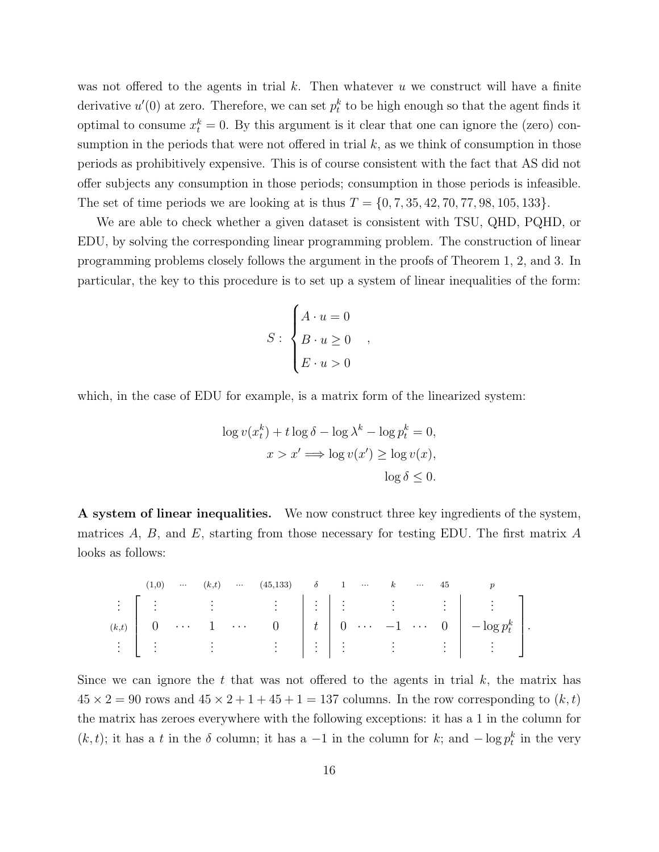was not offered to the agents in trial k. Then whatever u we construct will have a finite derivative  $u'(0)$  at zero. Therefore, we can set  $p_t^k$  to be high enough so that the agent finds it optimal to consume  $x_t^k = 0$ . By this argument is it clear that one can ignore the (zero) consumption in the periods that were not offered in trial  $k$ , as we think of consumption in those periods as prohibitively expensive. This is of course consistent with the fact that AS did not offer subjects any consumption in those periods; consumption in those periods is infeasible. The set of time periods we are looking at is thus  $T = \{0, 7, 35, 42, 70, 77, 98, 105, 133\}.$ 

We are able to check whether a given dataset is consistent with TSU, QHD, PQHD, or EDU, by solving the corresponding linear programming problem. The construction of linear programming problems closely follows the argument in the proofs of Theorem 1, 2, and 3. In particular, the key to this procedure is to set up a system of linear inequalities of the form:

$$
S: \begin{cases} A \cdot u = 0 \\ B \cdot u \ge 0 \\ E \cdot u > 0 \end{cases}
$$

,

which, in the case of EDU for example, is a matrix form of the linearized system:

$$
\log v(x_t^k) + t \log \delta - \log \lambda^k - \log p_t^k = 0,
$$
  

$$
x > x' \Longrightarrow \log v(x') \ge \log v(x),
$$
  

$$
\log \delta \le 0.
$$

A system of linear inequalities. We now construct three key ingredients of the system, matrices  $A, B$ , and  $E$ , starting from those necessary for testing EDU. The first matrix  $A$ looks as follows:

$$
\begin{array}{c|ccccccccc}\n(1,0) & \cdots & (k,t) & \cdots & (45,133) & \delta & 1 & \cdots & k & \cdots & 45 & p \\
\vdots & \vdots & \vdots & & \vdots & & \vdots & & \vdots & & \vdots & & \vdots \\
(k,t) & 0 & \cdots & 1 & \cdots & 0 & t & 0 & \cdots & -1 & \cdots & 0 & -\log p_t^k \\
\vdots & \vdots & & \vdots & & \vdots & & \vdots & & \vdots & & \vdots & & \vdots\n\end{array}
$$

Since we can ignore the t that was not offered to the agents in trial  $k$ , the matrix has  $45 \times 2 = 90$  rows and  $45 \times 2 + 1 + 45 + 1 = 137$  columns. In the row corresponding to  $(k, t)$ the matrix has zeroes everywhere with the following exceptions: it has a 1 in the column for  $(k, t)$ ; it has a t in the  $\delta$  column; it has a -1 in the column for k; and  $-\log p_t^k$  in the very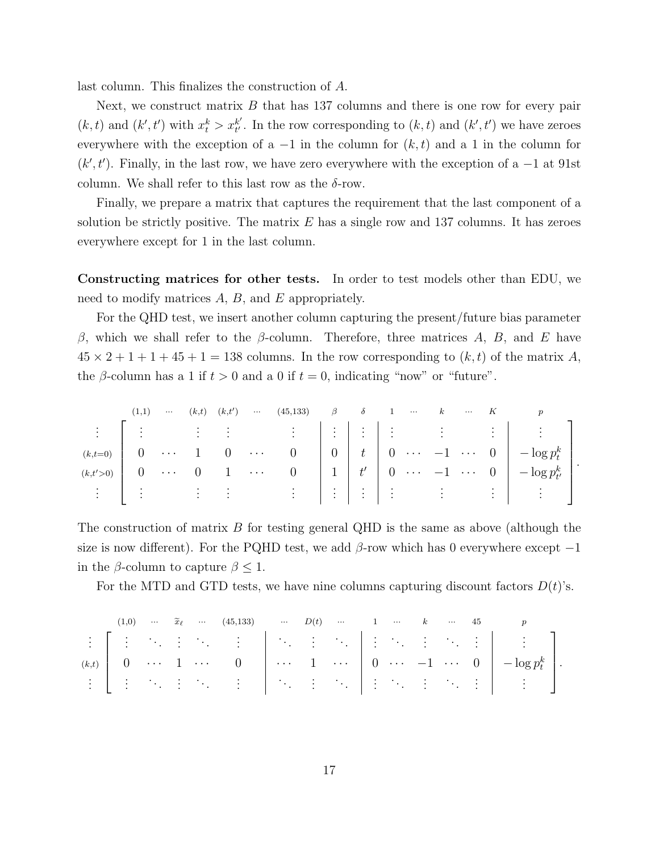last column. This finalizes the construction of A.

Next, we construct matrix  $B$  that has 137 columns and there is one row for every pair  $(k, t)$  and  $(k', t')$  with  $x_t^k > x_{t'}^{k'}$  $t'_{t'}$ . In the row corresponding to  $(k, t)$  and  $(k', t')$  we have zeroes everywhere with the exception of a  $-1$  in the column for  $(k, t)$  and a 1 in the column for  $(k', t')$ . Finally, in the last row, we have zero everywhere with the exception of a  $-1$  at 91st column. We shall refer to this last row as the  $\delta$ -row.

Finally, we prepare a matrix that captures the requirement that the last component of a solution be strictly positive. The matrix  $E$  has a single row and 137 columns. It has zeroes everywhere except for 1 in the last column.

Constructing matrices for other tests. In order to test models other than EDU, we need to modify matrices  $A, B$ , and  $E$  appropriately.

For the QHD test, we insert another column capturing the present/future bias parameter β, which we shall refer to the β-column. Therefore, three matrices A, B, and E have  $45 \times 2 + 1 + 1 + 45 + 1 = 138$  columns. In the row corresponding to  $(k, t)$  of the matrix A, the β-column has a 1 if  $t > 0$  and a 0 if  $t = 0$ , indicating "now" or "future".

| (1,1) | $\cdots$ | $(k,t)$ $(k,t')$ | <b>Section</b> | $(45,133)$ $\beta$ $\delta$ 1 |  | $\sim$ $\sim$ $\sim$ | $\boldsymbol{k}$ |  |                                           |  |
|-------|----------|------------------|----------------|-------------------------------|--|----------------------|------------------|--|-------------------------------------------|--|
|       |          |                  |                |                               |  |                      |                  |  |                                           |  |
|       |          |                  |                |                               |  |                      |                  |  |                                           |  |
|       |          |                  |                |                               |  |                      |                  |  |                                           |  |
|       |          |                  |                |                               |  |                      |                  |  | <u>a la saturna di lalala da salata l</u> |  |

The construction of matrix  $B$  for testing general QHD is the same as above (although the size is now different). For the PQHD test, we add  $\beta$ -row which has 0 everywhere except  $-1$ in the  $\beta$ -column to capture  $\beta \leq 1$ .

For the MTD and GTD tests, we have nine columns capturing discount factors  $D(t)$ 's.

|  |  | $(1,0) \hspace{0.25cm} \cdots \hspace{0.25cm} \widetilde{x}_{\ell} \hspace{0.25cm} \cdots \hspace{0.25cm} (45,133) \hspace{0.25cm} \cdots \hspace{0.25cm} D(t) \hspace{0.25cm} \cdots \hspace{0.25cm} 1 \hspace{0.25cm} \cdots \hspace{0.25cm} k \hspace{0.25cm} \cdots \hspace{0.25cm} 45$ |  |  |  |  |                                                                                                                                                                        |  |
|--|--|---------------------------------------------------------------------------------------------------------------------------------------------------------------------------------------------------------------------------------------------------------------------------------------------|--|--|--|--|------------------------------------------------------------------------------------------------------------------------------------------------------------------------|--|
|  |  |                                                                                                                                                                                                                                                                                             |  |  |  |  |                                                                                                                                                                        |  |
|  |  |                                                                                                                                                                                                                                                                                             |  |  |  |  | $(k,t)$ $\begin{bmatrix} 0 & \cdots & 1 & \cdots & 0 \end{bmatrix}$ $\cdots$ $\begin{bmatrix} 1 & \cdots & 0 & \cdots & -1 & \cdots & 0 \end{bmatrix}$ $-\log p_t^k$ . |  |
|  |  |                                                                                                                                                                                                                                                                                             |  |  |  |  |                                                                                                                                                                        |  |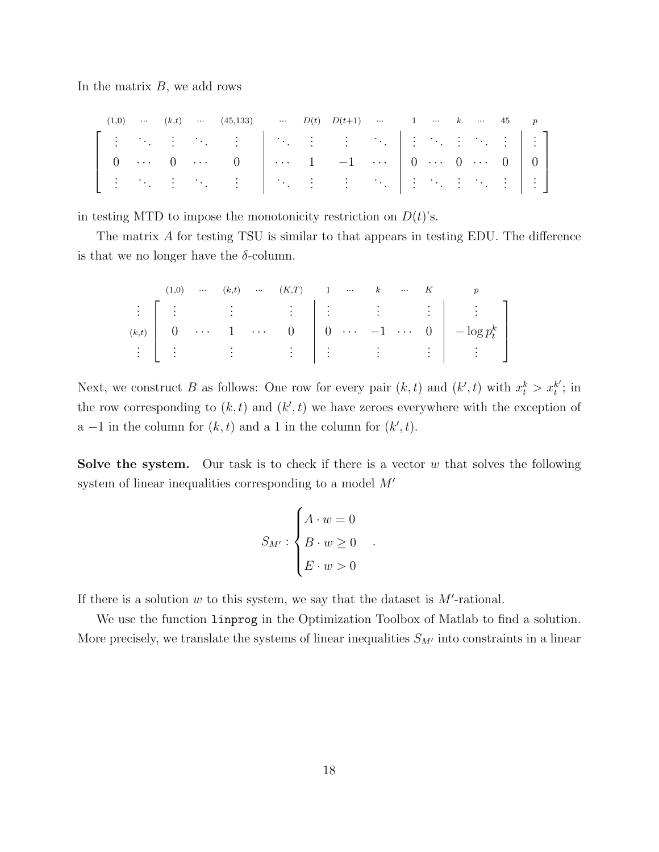In the matrix  $B$ , we add rows

|  |  | $(1,0)$ $(k,t)$ $(45,133)$ $D(t)$ $D(t+1)$ 1  k  45 p |  |  |  |  |  |
|--|--|-------------------------------------------------------|--|--|--|--|--|
|  |  |                                                       |  |  |  |  |  |
|  |  |                                                       |  |  |  |  |  |
|  |  |                                                       |  |  |  |  |  |

in testing MTD to impose the monotonicity restriction on  $D(t)$ 's.

The matrix A for testing TSU is similar to that appears in testing EDU. The difference is that we no longer have the  $\delta$ -column.

 (1,0) ··· (k,t) ··· (K,T) 1 ··· k ··· K p . . . . . . . . . . . . . . . . . . . . . . . . (k,t) 0 · · · 1 · · · 0 0 · · · −1 · · · 0 − log p k t . . . . . . . . . . . . . . . . . . . . . . . . 

Next, we construct B as follows: One row for every pair  $(k, t)$  and  $(k', t)$  with  $x_t^k > x_t^{k'}$  $t^{k'}$ ; in the row corresponding to  $(k, t)$  and  $(k', t)$  we have zeroes everywhere with the exception of a -1 in the column for  $(k, t)$  and a 1 in the column for  $(k', t)$ .

**Solve the system.** Our task is to check if there is a vector  $w$  that solves the following system of linear inequalities corresponding to a model  $M'$ 

$$
S_{M'}: \begin{cases} A \cdot w = 0 \\ B \cdot w \ge 0 \\ E \cdot w > 0 \end{cases}
$$

.

If there is a solution  $w$  to this system, we say that the dataset is  $M'$ -rational.

We use the function linprog in the Optimization Toolbox of Matlab to find a solution. More precisely, we translate the systems of linear inequalities  $S_{M'}$  into constraints in a linear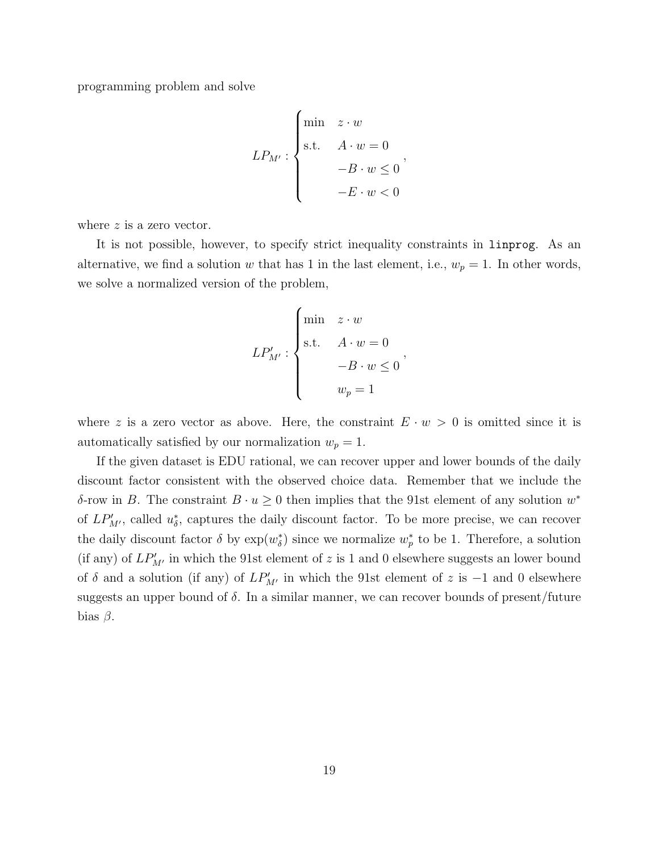programming problem and solve

$$
LP_{M'}: \begin{cases} \min \quad z \cdot w \\ \text{s.t.} \quad A \cdot w = 0 \\ -B \cdot w \le 0 \\ -E \cdot w < 0 \end{cases}
$$

where z is a zero vector.

It is not possible, however, to specify strict inequality constraints in linprog. As an alternative, we find a solution w that has 1 in the last element, i.e.,  $w_p = 1$ . In other words, we solve a normalized version of the problem,

$$
LP'_{M'}: \begin{cases} \min & z \cdot w \\ \text{s.t.} & A \cdot w = 0 \\ & -B \cdot w \le 0 \\ & w_p = 1 \end{cases}
$$

where z is a zero vector as above. Here, the constraint  $E \cdot w > 0$  is omitted since it is automatically satisfied by our normalization  $w_p = 1$ .

If the given dataset is EDU rational, we can recover upper and lower bounds of the daily discount factor consistent with the observed choice data. Remember that we include the δ-row in B. The constraint  $B \cdot u \geq 0$  then implies that the 91st element of any solution  $w^*$ of  $LP'_{M'}$ , called  $u_{\delta}^*$ , captures the daily discount factor. To be more precise, we can recover the daily discount factor  $\delta$  by  $\exp(w_{\delta}^*)$  since we normalize  $w_p^*$  to be 1. Therefore, a solution (if any) of  $LP'_{M'}$  in which the 91st element of z is 1 and 0 elsewhere suggests an lower bound of  $\delta$  and a solution (if any) of  $LP'_{M'}$  in which the 91st element of z is -1 and 0 elsewhere suggests an upper bound of  $\delta$ . In a similar manner, we can recover bounds of present/future bias  $\beta$ .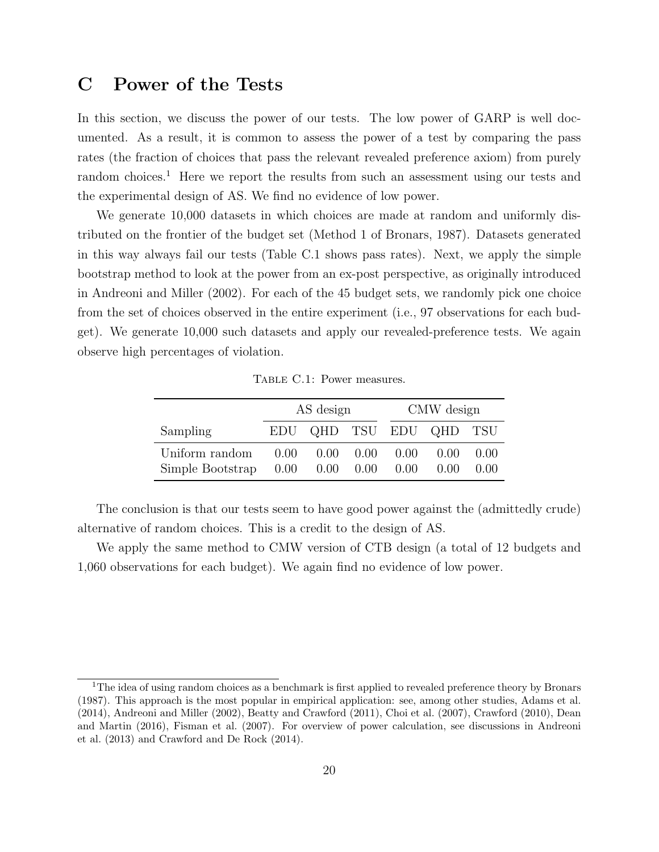## <span id="page-20-0"></span>C Power of the Tests

In this section, we discuss the power of our tests. The low power of GARP is well documented. As a result, it is common to assess the power of a test by comparing the pass rates (the fraction of choices that pass the relevant revealed preference axiom) from purely random choices.<sup>[1](#page-0-0)</sup> Here we report the results from such an assessment using our tests and the experimental design of AS. We find no evidence of low power.

We generate 10,000 datasets in which choices are made at random and uniformly distributed on the frontier of the budget set (Method 1 of [Bronars,](#page-28-1) [1987\)](#page-28-1). Datasets generated in this way always fail our tests (Table [C.1](#page-20-1) shows pass rates). Next, we apply the simple bootstrap method to look at the power from an ex-post perspective, as originally introduced in [Andreoni and Miller](#page-28-2) [\(2002\)](#page-28-2). For each of the 45 budget sets, we randomly pick one choice from the set of choices observed in the entire experiment (i.e., 97 observations for each budget). We generate 10,000 such datasets and apply our revealed-preference tests. We again observe high percentages of violation.

<span id="page-20-1"></span>

|                                    |                                  | AS design |                              | CMW design |                         |                  |  |  |  |
|------------------------------------|----------------------------------|-----------|------------------------------|------------|-------------------------|------------------|--|--|--|
| Sampling                           |                                  |           |                              |            | EDU QHD TSU EDU QHD TSU |                  |  |  |  |
| Uniform random<br>Simple Bootstrap | $0.00 -$<br>$0.00$ $0.00$ $0.00$ |           | $0.00 \quad 0.00 \quad 0.00$ | 0.00       | (0.00)<br>(0.00)        | (1.00)<br>(0.00) |  |  |  |

Table C.1: Power measures.

The conclusion is that our tests seem to have good power against the (admittedly crude) alternative of random choices. This is a credit to the design of AS.

We apply the same method to CMW version of CTB design (a total of 12 budgets and 1,060 observations for each budget). We again find no evidence of low power.

<sup>&</sup>lt;sup>1</sup>The idea of using random choices as a benchmark is first applied to revealed preference theory by [Bronars](#page-28-1) [\(1987\)](#page-28-1). This approach is the most popular in empirical application: see, among other studies, [Adams et al.](#page-28-3) [\(2014\)](#page-28-3), [Andreoni and Miller](#page-28-2) [\(2002\)](#page-28-2), [Beatty and Crawford](#page-28-4) [\(2011\)](#page-28-4), [Choi et al.](#page-28-5) [\(2007\)](#page-28-5), [Crawford](#page-28-6) [\(2010\)](#page-28-6), [Dean](#page-28-7) [and Martin](#page-28-7) [\(2016\)](#page-28-7), [Fisman et al.](#page-29-1) [\(2007\)](#page-29-1). For overview of power calculation, see discussions in [Andreoni](#page-28-8) [et al.](#page-28-8) [\(2013\)](#page-28-8) and [Crawford and De Rock](#page-28-9) [\(2014\)](#page-28-9).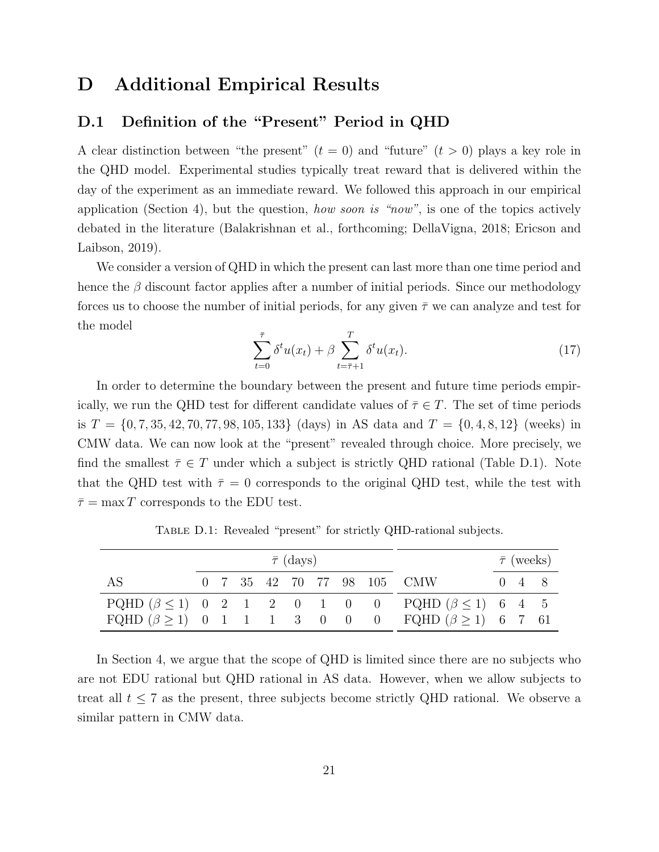## <span id="page-21-0"></span>D Additional Empirical Results

#### <span id="page-21-1"></span>D.1 Definition of the "Present" Period in QHD

A clear distinction between "the present"  $(t = 0)$  and "future"  $(t > 0)$  plays a key role in the QHD model. Experimental studies typically treat reward that is delivered within the day of the experiment as an immediate reward. We followed this approach in our empirical application (Section 4), but the question, how soon is "now", is one of the topics actively debated in the literature [\(Balakrishnan et al.,](#page-28-10) [forthcoming;](#page-28-10) [DellaVigna,](#page-28-11) [2018;](#page-28-11) [Ericson and](#page-29-2) [Laibson,](#page-29-2) [2019\)](#page-29-2).

We consider a version of QHD in which the present can last more than one time period and hence the  $\beta$  discount factor applies after a number of initial periods. Since our methodology forces us to choose the number of initial periods, for any given  $\bar{\tau}$  we can analyze and test for the model

$$
\sum_{t=0}^{\bar{\tau}} \delta^t u(x_t) + \beta \sum_{t=\bar{\tau}+1}^T \delta^t u(x_t). \tag{17}
$$

In order to determine the boundary between the present and future time periods empirically, we run the QHD test for different candidate values of  $\overline{\tau} \in T$ . The set of time periods is  $T = \{0, 7, 35, 42, 70, 77, 98, 105, 133\}$  (days) in AS data and  $T = \{0, 4, 8, 12\}$  (weeks) in CMW data. We can now look at the "present" revealed through choice. More precisely, we find the smallest  $\bar{\tau} \in T$  under which a subject is strictly QHD rational (Table [D.1\)](#page-21-2). Note that the QHD test with  $\bar{\tau}=0$  corresponds to the original QHD test, while the test with  $\bar{\tau} = \max T$  corresponds to the EDU test.

<span id="page-21-2"></span>

|    |  |  | $\bar{\tau}$ (days) |  |                                                                                                                                     |                     | $\bar{\tau}$ (weeks) |
|----|--|--|---------------------|--|-------------------------------------------------------------------------------------------------------------------------------------|---------------------|----------------------|
| AS |  |  |                     |  | 0 7 35 42 70 77 98 105 CMW                                                                                                          | $0 \quad 4 \quad 8$ |                      |
|    |  |  |                     |  | PQHD $(\beta \le 1)$ 0 2 1 2 0 1 0 0 PQHD $(\beta \le 1)$ 6 4 5<br>FQHD $(\beta \ge 1)$ 0 1 1 1 3 0 0 0 FQHD $(\beta \ge 1)$ 6 7 61 |                     |                      |

TABLE D.1: Revealed "present" for strictly QHD-rational subjects.

In Section 4, we argue that the scope of QHD is limited since there are no subjects who are not EDU rational but QHD rational in AS data. However, when we allow subjects to treat all  $t \leq 7$  as the present, three subjects become strictly QHD rational. We observe a similar pattern in CMW data.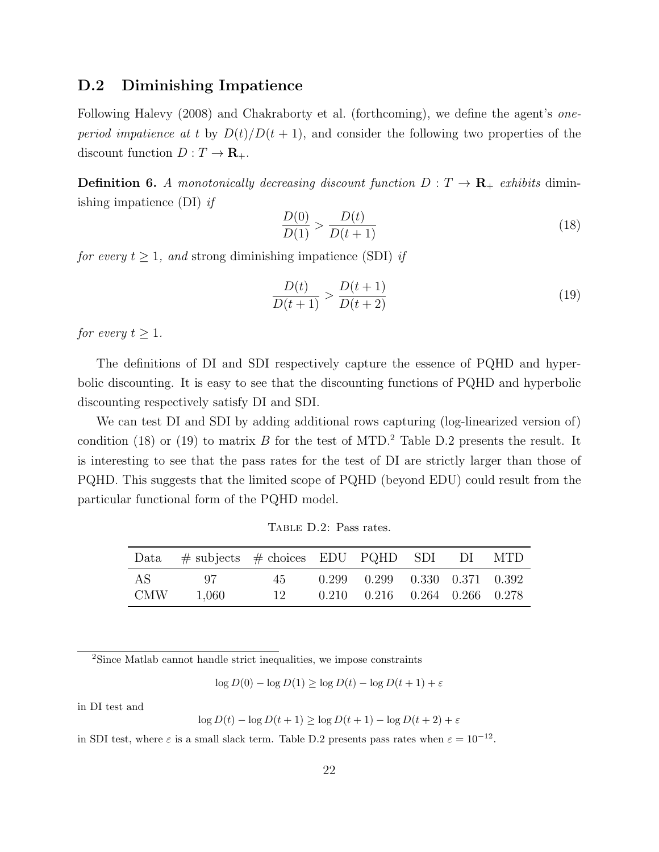#### <span id="page-22-0"></span>D.2 Diminishing Impatience

Following [Halevy](#page-29-3) [\(2008\)](#page-29-3) and [Chakraborty et al.](#page-28-12) [\(forthcoming\)](#page-28-12), we define the agent's oneperiod impatience at t by  $D(t)/D(t + 1)$ , and consider the following two properties of the discount function  $D: T \to \mathbf{R}_+$ .

**Definition 6.** A monotonically decreasing discount function  $D: T \to \mathbf{R}_{+}$  exhibits diminishing impatience (DI) if

<span id="page-22-1"></span>
$$
\frac{D(0)}{D(1)} > \frac{D(t)}{D(t+1)}\tag{18}
$$

for every  $t \geq 1$ , and strong diminishing impatience (SDI) if

<span id="page-22-2"></span>
$$
\frac{D(t)}{D(t+1)} > \frac{D(t+1)}{D(t+2)}
$$
\n(19)

for every  $t \geq 1$ .

The definitions of DI and SDI respectively capture the essence of PQHD and hyperbolic discounting. It is easy to see that the discounting functions of PQHD and hyperbolic discounting respectively satisfy DI and SDI.

We can test DI and SDI by adding additional rows capturing (log-linearized version of) condition [\(18\)](#page-22-1) or [\(19\)](#page-22-2) to matrix B for the test of MTD.<sup>[2](#page-0-0)</sup> Table [D.2](#page-22-3) presents the result. It is interesting to see that the pass rates for the test of DI are strictly larger than those of PQHD. This suggests that the limited scope of PQHD (beyond EDU) could result from the particular functional form of the PQHD model.

Table D.2: Pass rates.

<span id="page-22-3"></span>

| Data         | $\#$ subjects $\#$ choices EDU PQHD SDI DI MTD |               |                                                                                    |  |  |
|--------------|------------------------------------------------|---------------|------------------------------------------------------------------------------------|--|--|
| AS.<br>- CMW | 97.<br>1.060                                   | 45.<br>$12^-$ | $0.299$ $0.299$ $0.330$ $0.371$ $0.392$<br>$0.210$ $0.216$ $0.264$ $0.266$ $0.278$ |  |  |

<sup>2</sup>Since Matlab cannot handle strict inequalities, we impose constraints

 $\log D(0) - \log D(1) \geq \log D(t) - \log D(t+1) + \varepsilon$ 

in DI test and

log  $D(t) - \log D(t+1) \ge \log D(t+1) - \log D(t+2) + \varepsilon$ 

in SDI test, where  $\varepsilon$  is a small slack term. Table [D.2](#page-22-3) presents pass rates when  $\varepsilon = 10^{-12}$ .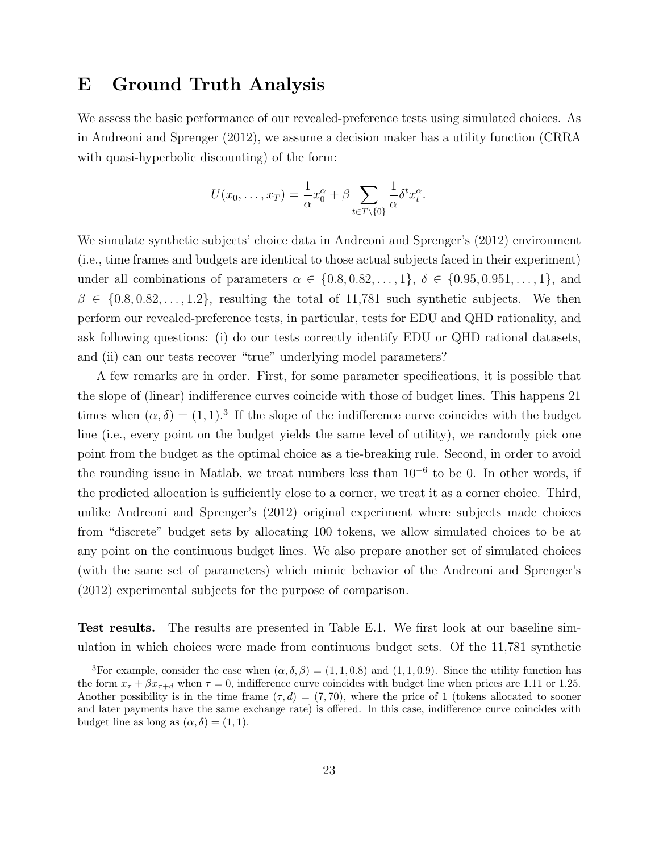## <span id="page-23-0"></span>E Ground Truth Analysis

We assess the basic performance of our revealed-preference tests using simulated choices. As in [Andreoni and Sprenger](#page-28-0) [\(2012\)](#page-28-0), we assume a decision maker has a utility function (CRRA with quasi-hyperbolic discounting) of the form:

$$
U(x_0,\ldots,x_T) = \frac{1}{\alpha}x_0^{\alpha} + \beta \sum_{t \in T \setminus \{0\}} \frac{1}{\alpha} \delta^t x_t^{\alpha}.
$$

We simulate synthetic subjects' choice data in [Andreoni and Sprenger'](#page-28-0)s [\(2012\)](#page-28-0) environment (i.e., time frames and budgets are identical to those actual subjects faced in their experiment) under all combinations of parameters  $\alpha \in \{0.8, 0.82, \ldots, 1\}, \delta \in \{0.95, 0.951, \ldots, 1\},\$ and  $\beta \in \{0.8, 0.82, \ldots, 1.2\}$ , resulting the total of 11,781 such synthetic subjects. We then perform our revealed-preference tests, in particular, tests for EDU and QHD rationality, and ask following questions: (i) do our tests correctly identify EDU or QHD rational datasets, and (ii) can our tests recover "true" underlying model parameters?

A few remarks are in order. First, for some parameter specifications, it is possible that the slope of (linear) indifference curves coincide with those of budget lines. This happens 21 times when  $(\alpha, \delta) = (1, 1)^3$  $(\alpha, \delta) = (1, 1)^3$  If the slope of the indifference curve coincides with the budget line (i.e., every point on the budget yields the same level of utility), we randomly pick one point from the budget as the optimal choice as a tie-breaking rule. Second, in order to avoid the rounding issue in Matlab, we treat numbers less than  $10^{-6}$  to be 0. In other words, if the predicted allocation is sufficiently close to a corner, we treat it as a corner choice. Third, unlike [Andreoni and Sprenger'](#page-28-0)s [\(2012\)](#page-28-0) original experiment where subjects made choices from "discrete" budget sets by allocating 100 tokens, we allow simulated choices to be at any point on the continuous budget lines. We also prepare another set of simulated choices (with the same set of parameters) which mimic behavior of the [Andreoni and Sprenger'](#page-28-0)s [\(2012\)](#page-28-0) experimental subjects for the purpose of comparison.

Test results. The results are presented in Table [E.1.](#page-24-0) We first look at our baseline simulation in which choices were made from continuous budget sets. Of the 11,781 synthetic

<sup>&</sup>lt;sup>3</sup>For example, consider the case when  $(\alpha, \delta, \beta) = (1, 1, 0.8)$  and  $(1, 1, 0.9)$ . Since the utility function has the form  $x_{\tau} + \beta x_{\tau+d}$  when  $\tau = 0$ , indifference curve coincides with budget line when prices are 1.11 or 1.25. Another possibility is in the time frame  $(\tau, d) = (7, 70)$ , where the price of 1 (tokens allocated to sooner and later payments have the same exchange rate) is offered. In this case, indifference curve coincides with budget line as long as  $(\alpha, \delta) = (1, 1)$ .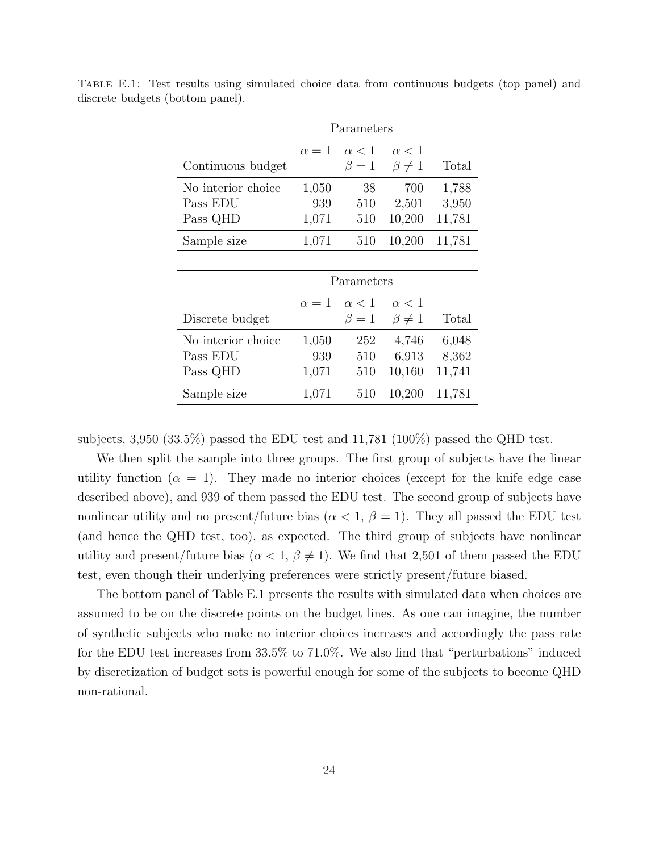|                    |            | Parameters   |               |        |
|--------------------|------------|--------------|---------------|--------|
|                    | $\alpha=1$ | $\alpha$ < 1 | $\alpha < 1$  |        |
| Continuous budget  |            | $\beta=1$    | $\beta\neq 1$ | Total  |
| No interior choice | 1,050      | 38           | 700           | 1,788  |
| Pass EDU           | 939        | 510          | 2,501         | 3,950  |
| Pass QHD           | 1,071      | 510          | 10,200        | 11,781 |
| Sample size        | 1,071      | 510          | 10,200        | 11,781 |
|                    |            |              |               |        |
|                    |            | Parameters   |               |        |
|                    | $\alpha=1$ | $\alpha$ < 1 | $\alpha < 1$  |        |
| Discrete budget    |            | $\beta=1$    | $\beta\neq 1$ | Total  |
| No interior choice | 1,050      | 252          | 4,746         | 6,048  |
| Pass EDU           | 939        | 510          | 6,913         | 8,362  |
| Pass QHD           | 1,071      | 510          | 10,160        | 11,741 |
| Sample size        | 1,071      | 510          | 10,200        | 11,781 |

<span id="page-24-0"></span>Table E.1: Test results using simulated choice data from continuous budgets (top panel) and discrete budgets (bottom panel).

subjects, 3,950 (33.5%) passed the EDU test and 11,781 (100%) passed the QHD test.

We then split the sample into three groups. The first group of subjects have the linear utility function  $(\alpha = 1)$ . They made no interior choices (except for the knife edge case described above), and 939 of them passed the EDU test. The second group of subjects have nonlinear utility and no present/future bias  $(\alpha < 1, \beta = 1)$ . They all passed the EDU test (and hence the QHD test, too), as expected. The third group of subjects have nonlinear utility and present/future bias  $(\alpha < 1, \beta \neq 1)$ . We find that 2,501 of them passed the EDU test, even though their underlying preferences were strictly present/future biased.

The bottom panel of Table [E.1](#page-24-0) presents the results with simulated data when choices are assumed to be on the discrete points on the budget lines. As one can imagine, the number of synthetic subjects who make no interior choices increases and accordingly the pass rate for the EDU test increases from 33.5% to 71.0%. We also find that "perturbations" induced by discretization of budget sets is powerful enough for some of the subjects to become QHD non-rational.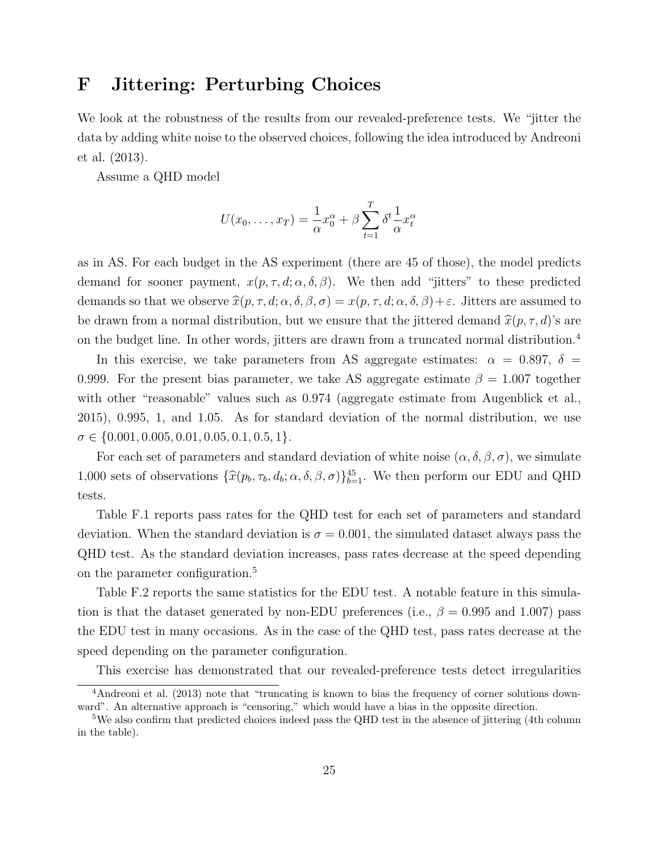## <span id="page-25-0"></span>F Jittering: Perturbing Choices

We look at the robustness of the results from our revealed-preference tests. We "jitter the data by adding white noise to the observed choices, following the idea introduced by [Andreoni](#page-28-8) [et al.](#page-28-8) [\(2013\)](#page-28-8).

Assume a QHD model

$$
U(x_0, \ldots, x_T) = \frac{1}{\alpha} x_0^{\alpha} + \beta \sum_{t=1}^T \delta^t \frac{1}{\alpha} x_t^{\alpha}
$$

as in AS. For each budget in the AS experiment (there are 45 of those), the model predicts demand for sooner payment,  $x(p, \tau, d; \alpha, \delta, \beta)$ . We then add "jitters" to these predicted demands so that we observe  $\hat{x}(p, \tau, d; \alpha, \delta, \beta, \sigma) = x(p, \tau, d; \alpha, \delta, \beta) + \varepsilon$ . Jitters are assumed to be drawn from a normal distribution, but we ensure that the jittered demand  $\hat{x}(p, \tau, d)$ 's are on the budget line. In other words, jitters are drawn from a truncated normal distribution.[4](#page-0-0)

In this exercise, we take parameters from AS aggregate estimates:  $\alpha = 0.897, \delta =$ 0.999. For the present bias parameter, we take AS aggregate estimate  $\beta = 1.007$  together with other "reasonable" values such as 0.974 (aggregate estimate from [Augenblick et al.,](#page-28-13) [2015\)](#page-28-13), 0.995, 1, and 1.05. As for standard deviation of the normal distribution, we use  $\sigma \in \{0.001, 0.005, 0.01, 0.05, 0.1, 0.5, 1\}.$ 

For each set of parameters and standard deviation of white noise  $(\alpha, \delta, \beta, \sigma)$ , we simulate 1,000 sets of observations  $\{\hat{x}(p_b, \tau_b, d_b; \alpha, \delta, \beta, \sigma)\}_{b=1}^{45}$ . We then perform our EDU and QHD tests.

Table [F.1](#page-26-0) reports pass rates for the QHD test for each set of parameters and standard deviation. When the standard deviation is  $\sigma = 0.001$ , the simulated dataset always pass the QHD test. As the standard deviation increases, pass rates decrease at the speed depending on the parameter configuration.<sup>[5](#page-0-0)</sup>

Table [F.2](#page-26-0) reports the same statistics for the EDU test. A notable feature in this simulation is that the dataset generated by non-EDU preferences (i.e.,  $\beta = 0.995$  and 1.007) pass the EDU test in many occasions. As in the case of the QHD test, pass rates decrease at the speed depending on the parameter configuration.

This exercise has demonstrated that our revealed-preference tests detect irregularities

<sup>4</sup>[Andreoni et al.](#page-28-8) [\(2013\)](#page-28-8) note that "truncating is known to bias the frequency of corner solutions downward". An alternative approach is "censoring," which would have a bias in the opposite direction.

<sup>&</sup>lt;sup>5</sup>We also confirm that predicted choices indeed pass the QHD test in the absence of jittering (4th column in the table).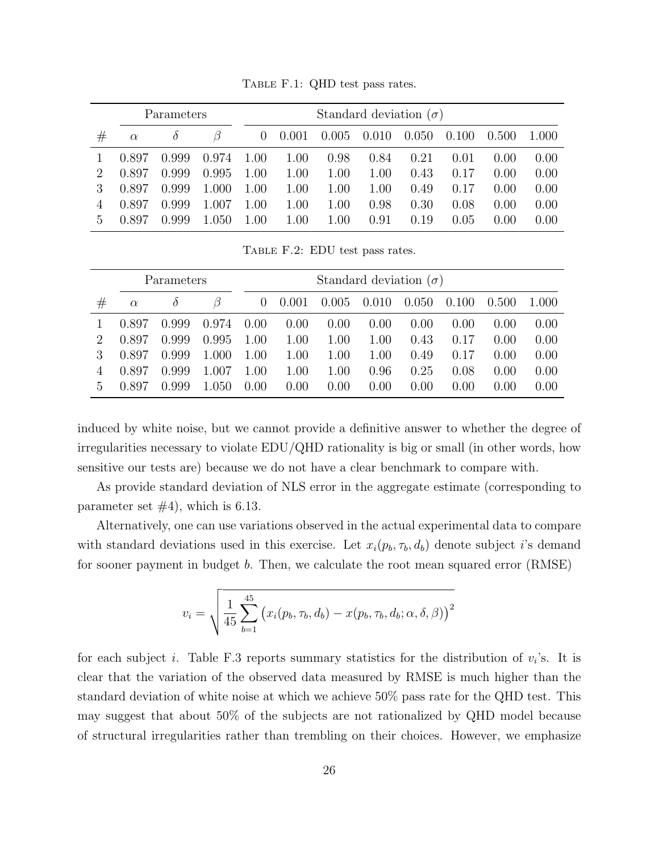<span id="page-26-0"></span>

|               |          | Parameters | Standard deviation $(\sigma)$ |          |       |          |       |       |         |         |       |
|---------------|----------|------------|-------------------------------|----------|-------|----------|-------|-------|---------|---------|-------|
| #             | $\alpha$ | $\delta$   |                               | $\theta$ | 0.001 | 0.005    | 0.010 | 0.050 | (0.100) | (0.500) | 1.000 |
|               | 0.897    | 0.999      | 0.974                         | 1.00     | 1.00  | 0.98     | 0.84  | 0.21  | 0.01    | 0.00    | 0.00  |
| $\mathcal{D}$ | 0.897    | 0.999      | 0.995                         | 1.00     | 1.00  | 1.00     | 1.00  | 0.43  | 0.17    | 0.00    | 0.00  |
|               | 0.897    | 0.999      | 1.000                         | 1.00     | 1.00  | $1.00\,$ | 1.00  | 0.49  | 0.17    | 0.00    | 0.00  |
|               | 0.897    | 0.999      | 1.007                         | 1.00     | 1.00  | $1.00\,$ | 0.98  | 0.30  | 0.08    | 0.00    | 0.00  |
| $\mathcal{L}$ | า 897    | 0.999      | 1.050                         | $1.00\,$ | 1.00  | $1.00\,$ | 0.91  | 0.19  | 0.05    | 0.00    | 0.00  |

Table F.1: QHD test pass rates.

Table F.2: EDU test pass rates.

|    |          | Parameters |       | Standard deviation $(\sigma)$ |       |          |       |       |        |       |       |  |
|----|----------|------------|-------|-------------------------------|-------|----------|-------|-------|--------|-------|-------|--|
| #  | $\alpha$ |            |       | $\theta$                      | 0.001 | 0.005    | 0.010 | 0.050 | 0.100  | 0.500 | 1.000 |  |
|    | 0.897    | 0.999      | 0.974 | 0.00                          | 0.00  | 0.00     | 0.00  | 0.00  | (1.00) | 0.00  | 0.00  |  |
|    | 0.897    | 0.999      | 0.995 | 1.00                          | 1.00  | $1.00\,$ | 1.00  | 0.43  | 0.17   | 0.00  | 0.00  |  |
|    | 0.897    | 0.999      | 1.000 | 1.00                          | 1.00  | 1.00     | 1.00  | 0.49  | 0.17   | 0.00  | 0.00  |  |
| 4  | 0.897    | 0.999      | 1.007 | 1.00                          | 1.00  | 1.00     | 0.96  | 0.25  | 0.08   | 0.00  | 0.00  |  |
| .h | 0.897    | 0.999      | 1.050 | 0.00                          | 0.00  | 0.00     | 0.00  | 0.00  | (0.00) | 0.00  | 0.00  |  |

induced by white noise, but we cannot provide a definitive answer to whether the degree of irregularities necessary to violate EDU/QHD rationality is big or small (in other words, how sensitive our tests are) because we do not have a clear benchmark to compare with.

As provide standard deviation of NLS error in the aggregate estimate (corresponding to parameter set  $#4$ ), which is 6.13.

Alternatively, one can use variations observed in the actual experimental data to compare with standard deviations used in this exercise. Let  $x_i(p_b, \tau_b, d_b)$  denote subject i's demand for sooner payment in budget b. Then, we calculate the root mean squared error (RMSE)

$$
v_i = \sqrt{\frac{1}{45} \sum_{b=1}^{45} (x_i(p_b, \tau_b, d_b) - x(p_b, \tau_b, d_b; \alpha, \delta, \beta))^2}
$$

for each subject *i*. Table [F.3](#page-27-0) reports summary statistics for the distribution of  $v_i$ 's. It is clear that the variation of the observed data measured by RMSE is much higher than the standard deviation of white noise at which we achieve 50% pass rate for the QHD test. This may suggest that about 50% of the subjects are not rationalized by QHD model because of structural irregularities rather than trembling on their choices. However, we emphasize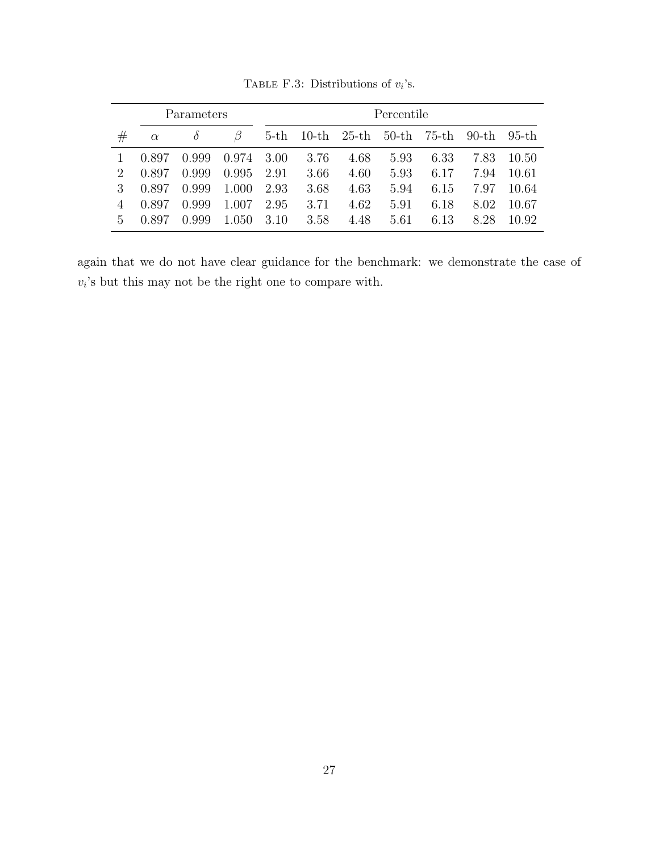<span id="page-27-0"></span>

|         |          | Parameters |       |        |          |          | Percentile |          |          |          |
|---------|----------|------------|-------|--------|----------|----------|------------|----------|----------|----------|
| $^{\#}$ | $\alpha$ | $\delta$   |       | $5-th$ | $10$ -th | $25$ -th | $50-th$    | $75$ -th | $90$ -th | $95$ -th |
|         | 0.897    | 0.999      | 0.974 | 3.00   | 3.76     | 4.68     | 5.93       | 6.33     | 7.83     | 10.50    |
| 2       | 0.897    | 0.999      | 0.995 | 2.91   | 3.66     | 4.60     | 5.93       | 6.17     | 7.94     | 10.61    |
| 3       | 0.897    | 0.999      | 1.000 | 2.93   | 3.68     | 4.63     | 5.94       | 6.15     | 7.97     | 10.64    |
|         | 0.897    | 0.999      | 1.007 | 2.95   | 3.71     | 4.62     | 5.91       | 6.18     | 8.02     | 10.67    |
| 5       | 0.897    | 0.999      | 1.050 | 3.10   | 3.58     | 4.48     | 5.61       | 6.13     | 8.28     | 10.92    |

TABLE F.3: Distributions of  $v_i$ 's.

again that we do not have clear guidance for the benchmark: we demonstrate the case of  $v_i$ 's but this may not be the right one to compare with.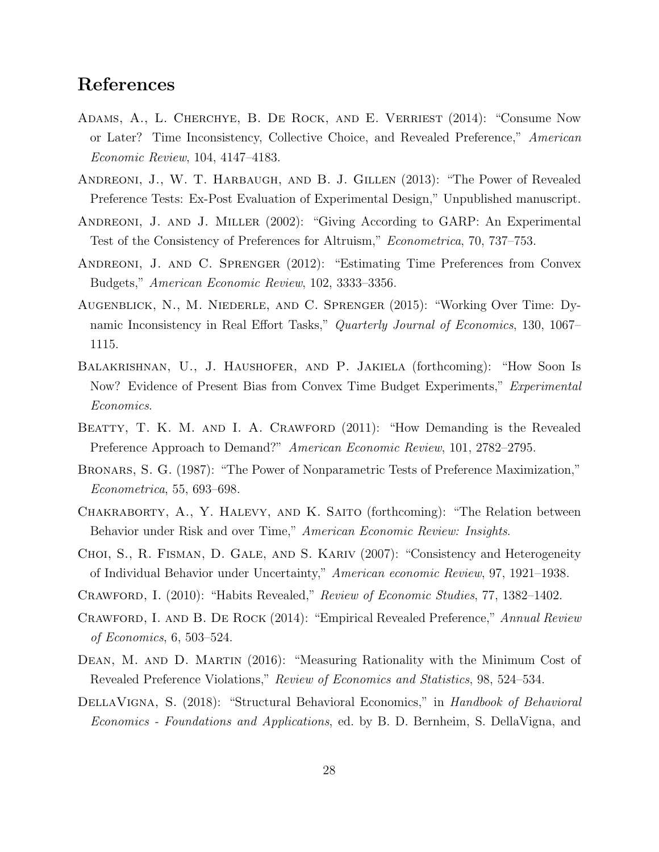## References

- <span id="page-28-3"></span>Adams, A., L. Cherchye, B. De Rock, and E. Verriest (2014): "Consume Now or Later? Time Inconsistency, Collective Choice, and Revealed Preference," American Economic Review, 104, 4147–4183.
- <span id="page-28-8"></span>Andreoni, J., W. T. Harbaugh, and B. J. Gillen (2013): "The Power of Revealed Preference Tests: Ex-Post Evaluation of Experimental Design," Unpublished manuscript.
- <span id="page-28-2"></span>Andreoni, J. and J. Miller (2002): "Giving According to GARP: An Experimental Test of the Consistency of Preferences for Altruism," Econometrica, 70, 737–753.
- <span id="page-28-0"></span>Andreoni, J. and C. Sprenger (2012): "Estimating Time Preferences from Convex Budgets," American Economic Review, 102, 3333–3356.
- <span id="page-28-13"></span>Augenblick, N., M. Niederle, and C. Sprenger (2015): "Working Over Time: Dynamic Inconsistency in Real Effort Tasks," Quarterly Journal of Economics, 130, 1067– 1115.
- <span id="page-28-10"></span>Balakrishnan, U., J. Haushofer, and P. Jakiela (forthcoming): "How Soon Is Now? Evidence of Present Bias from Convex Time Budget Experiments," Experimental Economics.
- <span id="page-28-4"></span>BEATTY, T. K. M. AND I. A. CRAWFORD (2011): "How Demanding is the Revealed Preference Approach to Demand?" American Economic Review, 101, 2782–2795.
- <span id="page-28-1"></span>Bronars, S. G. (1987): "The Power of Nonparametric Tests of Preference Maximization," Econometrica, 55, 693–698.
- <span id="page-28-12"></span>Chakraborty, A., Y. Halevy, and K. Saito (forthcoming): "The Relation between Behavior under Risk and over Time," American Economic Review: Insights.
- <span id="page-28-5"></span>Choi, S., R. Fisman, D. Gale, and S. Kariv (2007): "Consistency and Heterogeneity of Individual Behavior under Uncertainty," American economic Review, 97, 1921–1938.
- <span id="page-28-6"></span>Crawford, I. (2010): "Habits Revealed," Review of Economic Studies, 77, 1382–1402.
- <span id="page-28-9"></span>Crawford, I. and B. De Rock (2014): "Empirical Revealed Preference," Annual Review of Economics, 6, 503–524.
- <span id="page-28-7"></span>DEAN, M. AND D. MARTIN (2016): "Measuring Rationality with the Minimum Cost of Revealed Preference Violations," Review of Economics and Statistics, 98, 524–534.
- <span id="page-28-11"></span>DELLAVIGNA, S. (2018): "Structural Behavioral Economics," in Handbook of Behavioral Economics - Foundations and Applications, ed. by B. D. Bernheim, S. DellaVigna, and